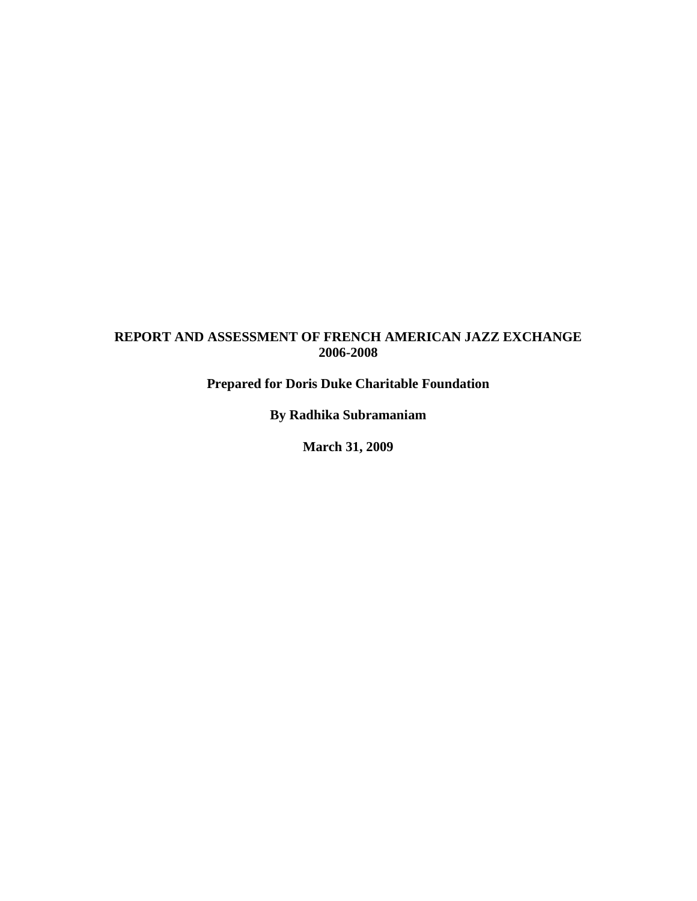## **REPORT AND ASSESSMENT OF FRENCH AMERICAN JAZZ EXCHANGE 2006-2008**

**Prepared for Doris Duke Charitable Foundation**

**By Radhika Subramaniam**

**March 31, 2009**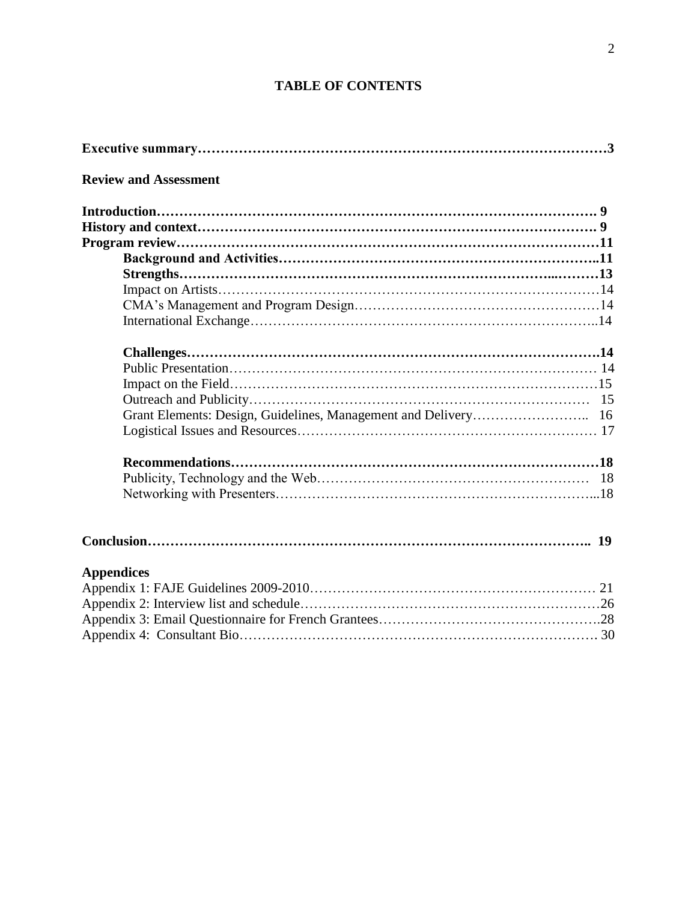## **TABLE OF CONTENTS**

| <b>Review and Assessment</b> |  |  |  |  |
|------------------------------|--|--|--|--|
|                              |  |  |  |  |
|                              |  |  |  |  |
|                              |  |  |  |  |
|                              |  |  |  |  |
|                              |  |  |  |  |
|                              |  |  |  |  |
|                              |  |  |  |  |
|                              |  |  |  |  |
|                              |  |  |  |  |
|                              |  |  |  |  |
|                              |  |  |  |  |
|                              |  |  |  |  |
|                              |  |  |  |  |
|                              |  |  |  |  |
|                              |  |  |  |  |
|                              |  |  |  |  |
|                              |  |  |  |  |
|                              |  |  |  |  |
|                              |  |  |  |  |
|                              |  |  |  |  |
|                              |  |  |  |  |
|                              |  |  |  |  |
| <b>Appendices</b>            |  |  |  |  |
|                              |  |  |  |  |
|                              |  |  |  |  |
|                              |  |  |  |  |
|                              |  |  |  |  |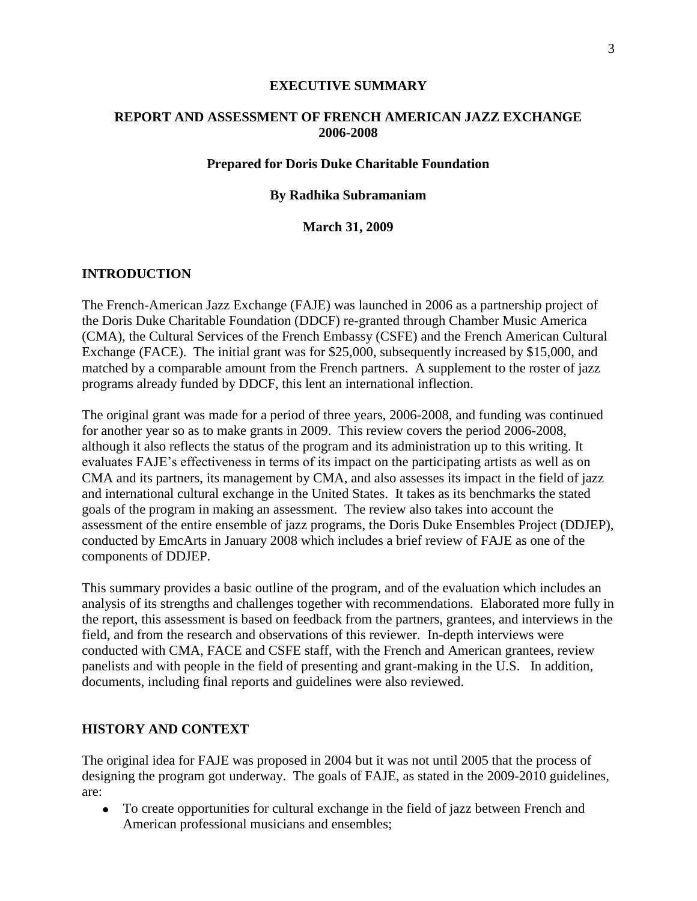#### **EXECUTIVE SUMMARY**

## **REPORT AND ASSESSMENT OF FRENCH AMERICAN JAZZ EXCHANGE 2006-2008**

#### **Prepared for Doris Duke Charitable Foundation**

#### **By Radhika Subramaniam**

**March 31, 2009**

#### **INTRODUCTION**

The French-American Jazz Exchange (FAJE) was launched in 2006 as a partnership project of the Doris Duke Charitable Foundation (DDCF) re-granted through Chamber Music America (CMA), the Cultural Services of the French Embassy (CSFE) and the French American Cultural Exchange (FACE). The initial grant was for \$25,000, subsequently increased by \$15,000, and matched by a comparable amount from the French partners. A supplement to the roster of jazz programs already funded by DDCF, this lent an international inflection.

The original grant was made for a period of three years, 2006-2008, and funding was continued for another year so as to make grants in 2009. This review covers the period 2006-2008, although it also reflects the status of the program and its administration up to this writing. It evaluates FAJE"s effectiveness in terms of its impact on the participating artists as well as on CMA and its partners, its management by CMA, and also assesses its impact in the field of jazz and international cultural exchange in the United States. It takes as its benchmarks the stated goals of the program in making an assessment. The review also takes into account the assessment of the entire ensemble of jazz programs, the Doris Duke Ensembles Project (DDJEP), conducted by EmcArts in January 2008 which includes a brief review of FAJE as one of the components of DDJEP.

This summary provides a basic outline of the program, and of the evaluation which includes an analysis of its strengths and challenges together with recommendations. Elaborated more fully in the report, this assessment is based on feedback from the partners, grantees, and interviews in the field, and from the research and observations of this reviewer. In-depth interviews were conducted with CMA, FACE and CSFE staff, with the French and American grantees, review panelists and with people in the field of presenting and grant-making in the U.S. In addition, documents, including final reports and guidelines were also reviewed.

#### **HISTORY AND CONTEXT**

The original idea for FAJE was proposed in 2004 but it was not until 2005 that the process of designing the program got underway. The goals of FAJE, as stated in the 2009-2010 guidelines, are:

To create opportunities for cultural exchange in the field of jazz between French and American professional musicians and ensembles;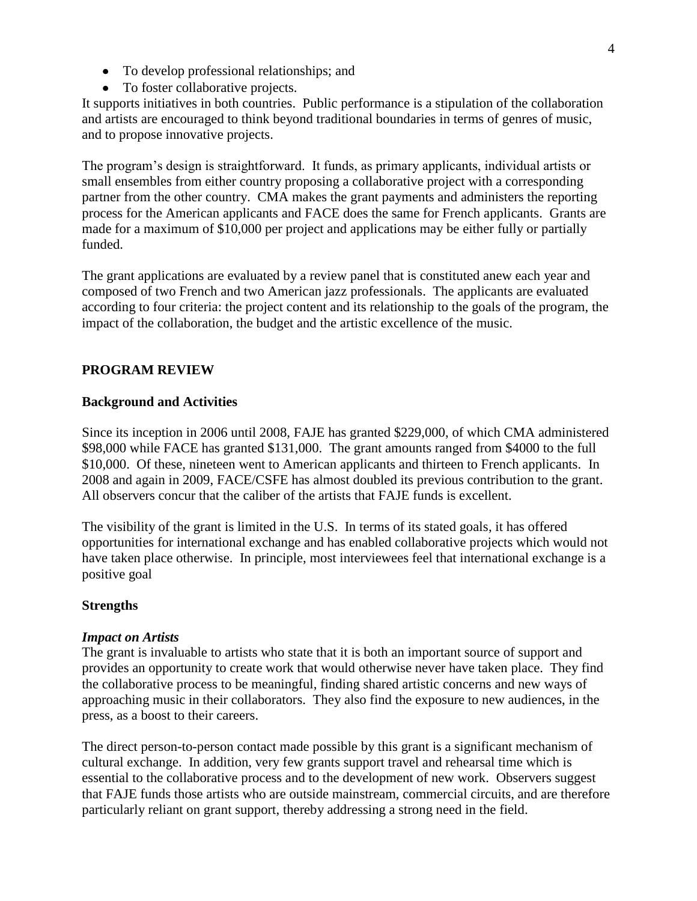- To develop professional relationships; and
- To foster collaborative projects.

It supports initiatives in both countries. Public performance is a stipulation of the collaboration and artists are encouraged to think beyond traditional boundaries in terms of genres of music, and to propose innovative projects.

The program"s design is straightforward. It funds, as primary applicants, individual artists or small ensembles from either country proposing a collaborative project with a corresponding partner from the other country. CMA makes the grant payments and administers the reporting process for the American applicants and FACE does the same for French applicants. Grants are made for a maximum of \$10,000 per project and applications may be either fully or partially funded.

The grant applications are evaluated by a review panel that is constituted anew each year and composed of two French and two American jazz professionals. The applicants are evaluated according to four criteria: the project content and its relationship to the goals of the program, the impact of the collaboration, the budget and the artistic excellence of the music.

## **PROGRAM REVIEW**

#### **Background and Activities**

Since its inception in 2006 until 2008, FAJE has granted \$229,000, of which CMA administered \$98,000 while FACE has granted \$131,000. The grant amounts ranged from \$4000 to the full \$10,000. Of these, nineteen went to American applicants and thirteen to French applicants. In 2008 and again in 2009, FACE/CSFE has almost doubled its previous contribution to the grant. All observers concur that the caliber of the artists that FAJE funds is excellent.

The visibility of the grant is limited in the U.S. In terms of its stated goals, it has offered opportunities for international exchange and has enabled collaborative projects which would not have taken place otherwise. In principle, most interviewees feel that international exchange is a positive goal

#### **Strengths**

#### *Impact on Artists*

The grant is invaluable to artists who state that it is both an important source of support and provides an opportunity to create work that would otherwise never have taken place. They find the collaborative process to be meaningful, finding shared artistic concerns and new ways of approaching music in their collaborators. They also find the exposure to new audiences, in the press, as a boost to their careers.

The direct person-to-person contact made possible by this grant is a significant mechanism of cultural exchange. In addition, very few grants support travel and rehearsal time which is essential to the collaborative process and to the development of new work. Observers suggest that FAJE funds those artists who are outside mainstream, commercial circuits, and are therefore particularly reliant on grant support, thereby addressing a strong need in the field.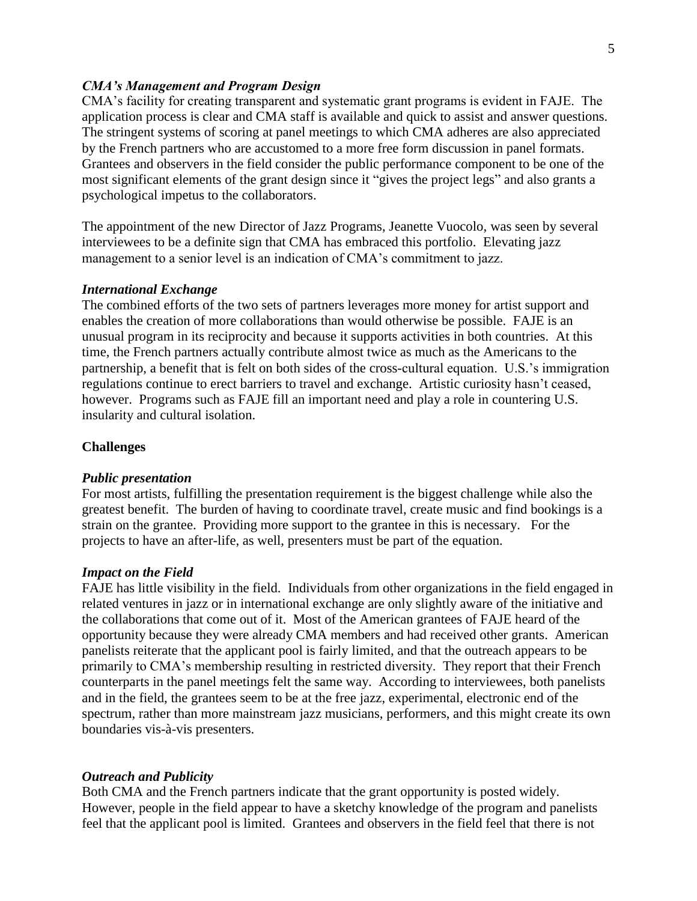#### *CMA's Management and Program Design*

CMA"s facility for creating transparent and systematic grant programs is evident in FAJE. The application process is clear and CMA staff is available and quick to assist and answer questions. The stringent systems of scoring at panel meetings to which CMA adheres are also appreciated by the French partners who are accustomed to a more free form discussion in panel formats. Grantees and observers in the field consider the public performance component to be one of the most significant elements of the grant design since it "gives the project legs" and also grants a psychological impetus to the collaborators.

The appointment of the new Director of Jazz Programs, Jeanette Vuocolo, was seen by several interviewees to be a definite sign that CMA has embraced this portfolio. Elevating jazz management to a senior level is an indication of CMA"s commitment to jazz.

#### *International Exchange*

The combined efforts of the two sets of partners leverages more money for artist support and enables the creation of more collaborations than would otherwise be possible. FAJE is an unusual program in its reciprocity and because it supports activities in both countries. At this time, the French partners actually contribute almost twice as much as the Americans to the partnership, a benefit that is felt on both sides of the cross-cultural equation. U.S."s immigration regulations continue to erect barriers to travel and exchange. Artistic curiosity hasn"t ceased, however. Programs such as FAJE fill an important need and play a role in countering U.S. insularity and cultural isolation.

#### **Challenges**

#### *Public presentation*

For most artists, fulfilling the presentation requirement is the biggest challenge while also the greatest benefit. The burden of having to coordinate travel, create music and find bookings is a strain on the grantee. Providing more support to the grantee in this is necessary. For the projects to have an after-life, as well, presenters must be part of the equation.

#### *Impact on the Field*

FAJE has little visibility in the field. Individuals from other organizations in the field engaged in related ventures in jazz or in international exchange are only slightly aware of the initiative and the collaborations that come out of it. Most of the American grantees of FAJE heard of the opportunity because they were already CMA members and had received other grants. American panelists reiterate that the applicant pool is fairly limited, and that the outreach appears to be primarily to CMA's membership resulting in restricted diversity. They report that their French counterparts in the panel meetings felt the same way. According to interviewees, both panelists and in the field, the grantees seem to be at the free jazz, experimental, electronic end of the spectrum, rather than more mainstream jazz musicians, performers, and this might create its own boundaries vis-à-vis presenters.

#### *Outreach and Publicity*

Both CMA and the French partners indicate that the grant opportunity is posted widely. However, people in the field appear to have a sketchy knowledge of the program and panelists feel that the applicant pool is limited. Grantees and observers in the field feel that there is not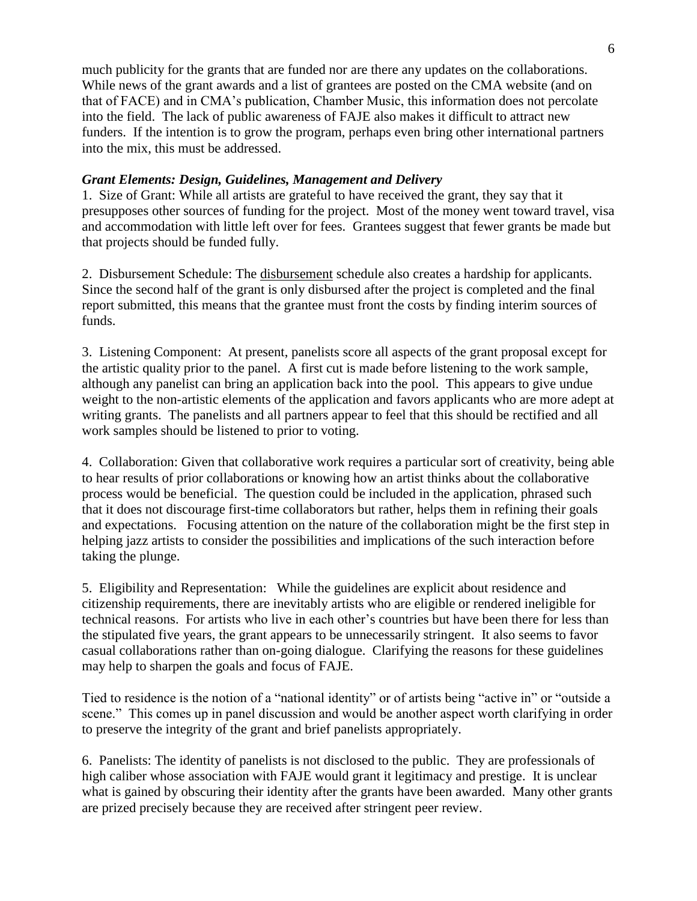much publicity for the grants that are funded nor are there any updates on the collaborations. While news of the grant awards and a list of grantees are posted on the CMA website (and on that of FACE) and in CMA"s publication, Chamber Music, this information does not percolate into the field. The lack of public awareness of FAJE also makes it difficult to attract new funders. If the intention is to grow the program, perhaps even bring other international partners into the mix, this must be addressed.

## *Grant Elements: Design, Guidelines, Management and Delivery*

1. Size of Grant: While all artists are grateful to have received the grant, they say that it presupposes other sources of funding for the project. Most of the money went toward travel, visa and accommodation with little left over for fees. Grantees suggest that fewer grants be made but that projects should be funded fully.

2. Disbursement Schedule: The disbursement schedule also creates a hardship for applicants. Since the second half of the grant is only disbursed after the project is completed and the final report submitted, this means that the grantee must front the costs by finding interim sources of funds.

3. Listening Component: At present, panelists score all aspects of the grant proposal except for the artistic quality prior to the panel. A first cut is made before listening to the work sample, although any panelist can bring an application back into the pool. This appears to give undue weight to the non-artistic elements of the application and favors applicants who are more adept at writing grants. The panelists and all partners appear to feel that this should be rectified and all work samples should be listened to prior to voting.

4. Collaboration: Given that collaborative work requires a particular sort of creativity, being able to hear results of prior collaborations or knowing how an artist thinks about the collaborative process would be beneficial. The question could be included in the application, phrased such that it does not discourage first-time collaborators but rather, helps them in refining their goals and expectations. Focusing attention on the nature of the collaboration might be the first step in helping jazz artists to consider the possibilities and implications of the such interaction before taking the plunge.

5. Eligibility and Representation: While the guidelines are explicit about residence and citizenship requirements, there are inevitably artists who are eligible or rendered ineligible for technical reasons. For artists who live in each other"s countries but have been there for less than the stipulated five years, the grant appears to be unnecessarily stringent. It also seems to favor casual collaborations rather than on-going dialogue. Clarifying the reasons for these guidelines may help to sharpen the goals and focus of FAJE.

Tied to residence is the notion of a "national identity" or of artists being "active in" or "outside a scene." This comes up in panel discussion and would be another aspect worth clarifying in order to preserve the integrity of the grant and brief panelists appropriately.

6. Panelists: The identity of panelists is not disclosed to the public. They are professionals of high caliber whose association with FAJE would grant it legitimacy and prestige. It is unclear what is gained by obscuring their identity after the grants have been awarded. Many other grants are prized precisely because they are received after stringent peer review.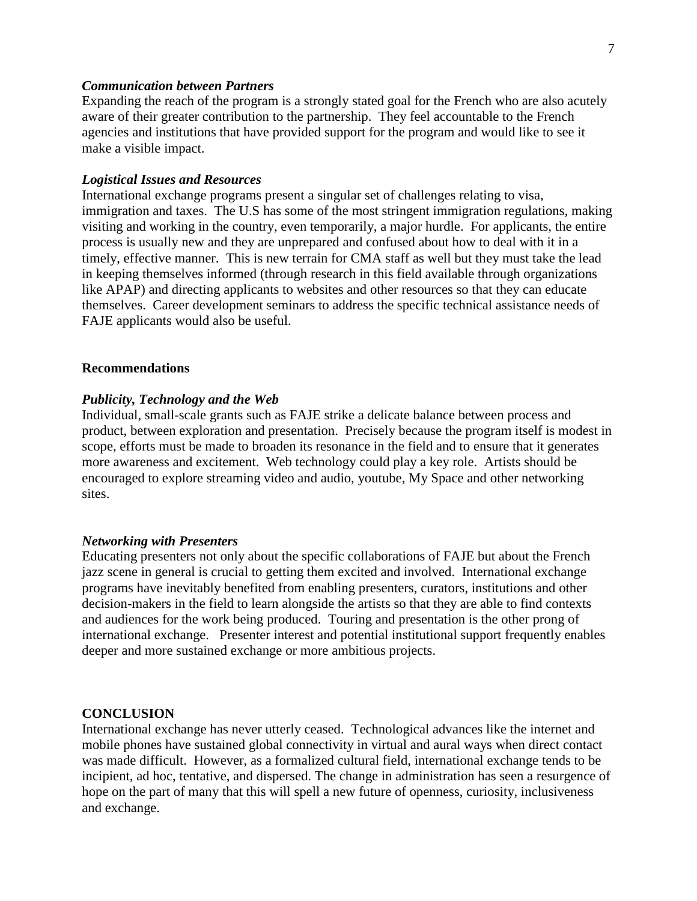#### *Communication between Partners*

Expanding the reach of the program is a strongly stated goal for the French who are also acutely aware of their greater contribution to the partnership. They feel accountable to the French agencies and institutions that have provided support for the program and would like to see it make a visible impact.

#### *Logistical Issues and Resources*

International exchange programs present a singular set of challenges relating to visa, immigration and taxes. The U.S has some of the most stringent immigration regulations, making visiting and working in the country, even temporarily, a major hurdle. For applicants, the entire process is usually new and they are unprepared and confused about how to deal with it in a timely, effective manner. This is new terrain for CMA staff as well but they must take the lead in keeping themselves informed (through research in this field available through organizations like APAP) and directing applicants to websites and other resources so that they can educate themselves. Career development seminars to address the specific technical assistance needs of FAJE applicants would also be useful.

#### **Recommendations**

#### *Publicity, Technology and the Web*

Individual, small-scale grants such as FAJE strike a delicate balance between process and product, between exploration and presentation. Precisely because the program itself is modest in scope, efforts must be made to broaden its resonance in the field and to ensure that it generates more awareness and excitement. Web technology could play a key role. Artists should be encouraged to explore streaming video and audio, youtube, My Space and other networking sites.

#### *Networking with Presenters*

Educating presenters not only about the specific collaborations of FAJE but about the French jazz scene in general is crucial to getting them excited and involved. International exchange programs have inevitably benefited from enabling presenters, curators, institutions and other decision-makers in the field to learn alongside the artists so that they are able to find contexts and audiences for the work being produced. Touring and presentation is the other prong of international exchange. Presenter interest and potential institutional support frequently enables deeper and more sustained exchange or more ambitious projects.

#### **CONCLUSION**

International exchange has never utterly ceased. Technological advances like the internet and mobile phones have sustained global connectivity in virtual and aural ways when direct contact was made difficult. However, as a formalized cultural field, international exchange tends to be incipient, ad hoc, tentative, and dispersed. The change in administration has seen a resurgence of hope on the part of many that this will spell a new future of openness, curiosity, inclusiveness and exchange.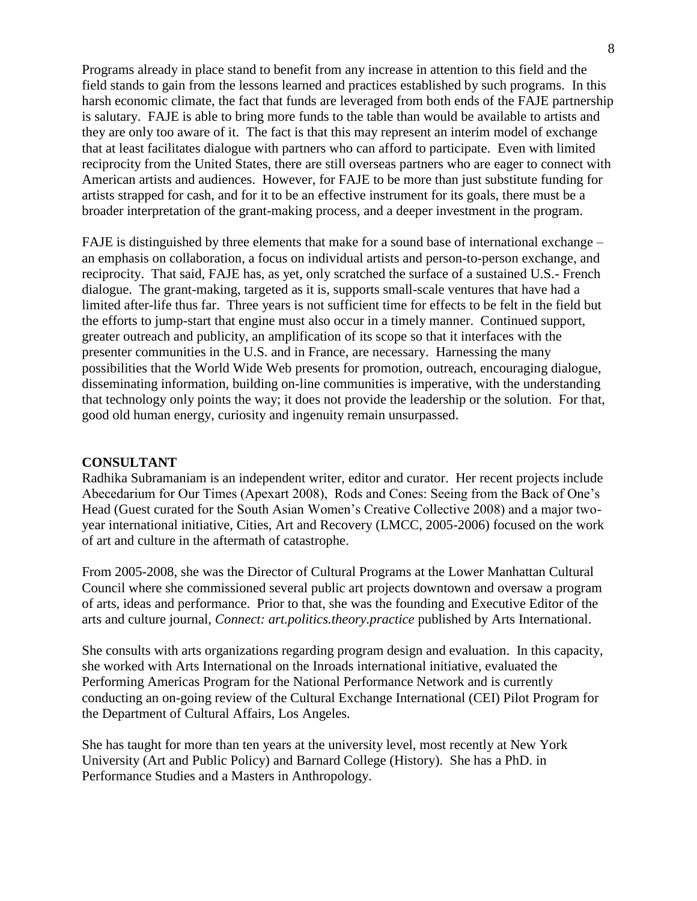Programs already in place stand to benefit from any increase in attention to this field and the field stands to gain from the lessons learned and practices established by such programs. In this harsh economic climate, the fact that funds are leveraged from both ends of the FAJE partnership is salutary. FAJE is able to bring more funds to the table than would be available to artists and they are only too aware of it. The fact is that this may represent an interim model of exchange that at least facilitates dialogue with partners who can afford to participate. Even with limited reciprocity from the United States, there are still overseas partners who are eager to connect with American artists and audiences. However, for FAJE to be more than just substitute funding for artists strapped for cash, and for it to be an effective instrument for its goals, there must be a broader interpretation of the grant-making process, and a deeper investment in the program.

FAJE is distinguished by three elements that make for a sound base of international exchange – an emphasis on collaboration, a focus on individual artists and person-to-person exchange, and reciprocity. That said, FAJE has, as yet, only scratched the surface of a sustained U.S.- French dialogue. The grant-making, targeted as it is, supports small-scale ventures that have had a limited after-life thus far. Three years is not sufficient time for effects to be felt in the field but the efforts to jump-start that engine must also occur in a timely manner. Continued support, greater outreach and publicity, an amplification of its scope so that it interfaces with the presenter communities in the U.S. and in France, are necessary. Harnessing the many possibilities that the World Wide Web presents for promotion, outreach, encouraging dialogue, disseminating information, building on-line communities is imperative, with the understanding that technology only points the way; it does not provide the leadership or the solution. For that, good old human energy, curiosity and ingenuity remain unsurpassed.

#### **CONSULTANT**

Radhika Subramaniam is an independent writer, editor and curator. Her recent projects include Abecedarium for Our Times (Apexart 2008), Rods and Cones: Seeing from the Back of One"s Head (Guest curated for the South Asian Women's Creative Collective 2008) and a major twoyear international initiative, Cities, Art and Recovery (LMCC, 2005-2006) focused on the work of art and culture in the aftermath of catastrophe.

From 2005-2008, she was the Director of Cultural Programs at the Lower Manhattan Cultural Council where she commissioned several public art projects downtown and oversaw a program of arts, ideas and performance. Prior to that, she was the founding and Executive Editor of the arts and culture journal, *Connect: art.politics.theory.practice* published by Arts International.

She consults with arts organizations regarding program design and evaluation. In this capacity, she worked with Arts International on the Inroads international initiative, evaluated the Performing Americas Program for the National Performance Network and is currently conducting an on-going review of the Cultural Exchange International (CEI) Pilot Program for the Department of Cultural Affairs, Los Angeles.

She has taught for more than ten years at the university level, most recently at New York University (Art and Public Policy) and Barnard College (History). She has a PhD. in Performance Studies and a Masters in Anthropology.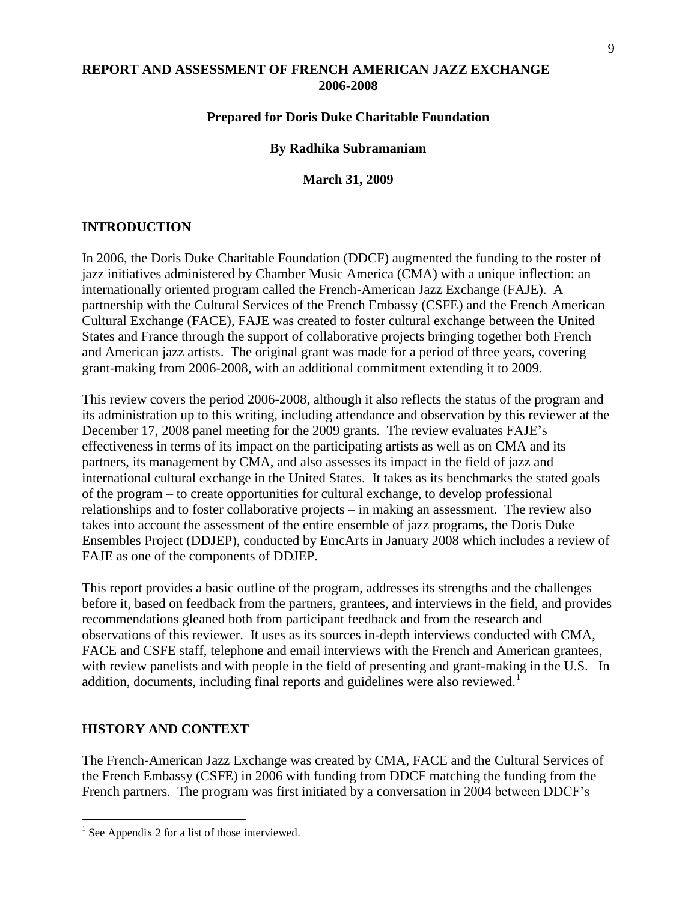## **REPORT AND ASSESSMENT OF FRENCH AMERICAN JAZZ EXCHANGE 2006-2008**

## **Prepared for Doris Duke Charitable Foundation**

#### **By Radhika Subramaniam**

**March 31, 2009**

## **INTRODUCTION**

In 2006, the Doris Duke Charitable Foundation (DDCF) augmented the funding to the roster of jazz initiatives administered by Chamber Music America (CMA) with a unique inflection: an internationally oriented program called the French-American Jazz Exchange (FAJE). A partnership with the Cultural Services of the French Embassy (CSFE) and the French American Cultural Exchange (FACE), FAJE was created to foster cultural exchange between the United States and France through the support of collaborative projects bringing together both French and American jazz artists. The original grant was made for a period of three years, covering grant-making from 2006-2008, with an additional commitment extending it to 2009.

This review covers the period 2006-2008, although it also reflects the status of the program and its administration up to this writing, including attendance and observation by this reviewer at the December 17, 2008 panel meeting for the 2009 grants. The review evaluates FAJE"s effectiveness in terms of its impact on the participating artists as well as on CMA and its partners, its management by CMA, and also assesses its impact in the field of jazz and international cultural exchange in the United States. It takes as its benchmarks the stated goals of the program – to create opportunities for cultural exchange, to develop professional relationships and to foster collaborative projects – in making an assessment. The review also takes into account the assessment of the entire ensemble of jazz programs, the Doris Duke Ensembles Project (DDJEP), conducted by EmcArts in January 2008 which includes a review of FAJE as one of the components of DDJEP.

This report provides a basic outline of the program, addresses its strengths and the challenges before it, based on feedback from the partners, grantees, and interviews in the field, and provides recommendations gleaned both from participant feedback and from the research and observations of this reviewer. It uses as its sources in-depth interviews conducted with CMA, FACE and CSFE staff, telephone and email interviews with the French and American grantees, with review panelists and with people in the field of presenting and grant-making in the U.S. In addition, documents, including final reports and guidelines were also reviewed.<sup>1</sup>

## **HISTORY AND CONTEXT**

 $\overline{a}$ 

The French-American Jazz Exchange was created by CMA, FACE and the Cultural Services of the French Embassy (CSFE) in 2006 with funding from DDCF matching the funding from the French partners. The program was first initiated by a conversation in 2004 between DDCF's

 $<sup>1</sup>$  See Appendix 2 for a list of those interviewed.</sup>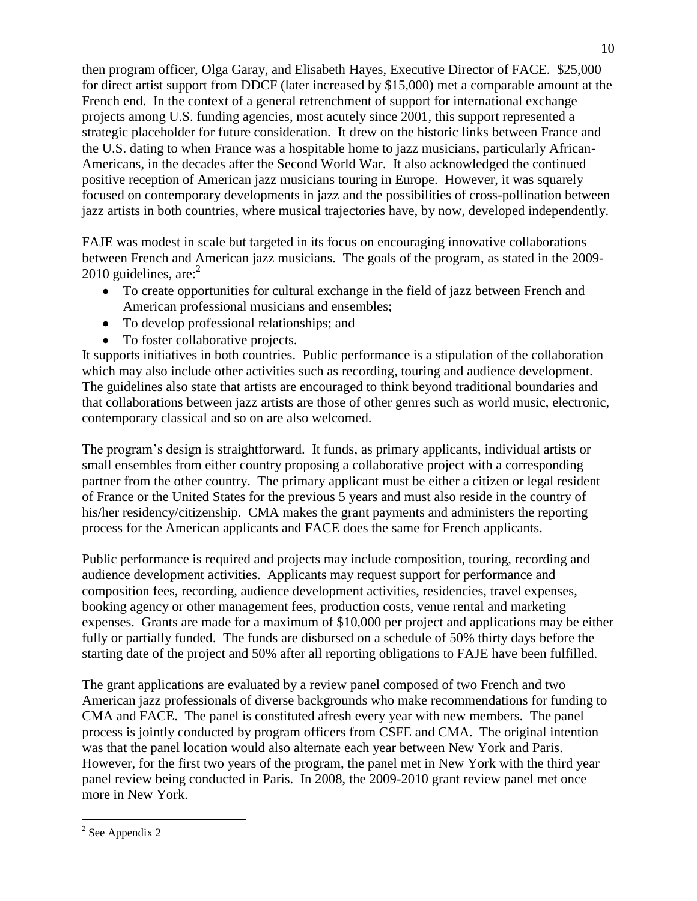then program officer, Olga Garay, and Elisabeth Hayes, Executive Director of FACE. \$25,000 for direct artist support from DDCF (later increased by \$15,000) met a comparable amount at the French end. In the context of a general retrenchment of support for international exchange projects among U.S. funding agencies, most acutely since 2001, this support represented a strategic placeholder for future consideration. It drew on the historic links between France and the U.S. dating to when France was a hospitable home to jazz musicians, particularly African-Americans, in the decades after the Second World War. It also acknowledged the continued positive reception of American jazz musicians touring in Europe. However, it was squarely focused on contemporary developments in jazz and the possibilities of cross-pollination between jazz artists in both countries, where musical trajectories have, by now, developed independently.

FAJE was modest in scale but targeted in its focus on encouraging innovative collaborations between French and American jazz musicians. The goals of the program, as stated in the 2009- 2010 guidelines, are: $2$ 

- To create opportunities for cultural exchange in the field of jazz between French and American professional musicians and ensembles;
- To develop professional relationships; and
- To foster collaborative projects.

It supports initiatives in both countries. Public performance is a stipulation of the collaboration which may also include other activities such as recording, touring and audience development. The guidelines also state that artists are encouraged to think beyond traditional boundaries and that collaborations between jazz artists are those of other genres such as world music, electronic, contemporary classical and so on are also welcomed.

The program"s design is straightforward. It funds, as primary applicants, individual artists or small ensembles from either country proposing a collaborative project with a corresponding partner from the other country. The primary applicant must be either a citizen or legal resident of France or the United States for the previous 5 years and must also reside in the country of his/her residency/citizenship. CMA makes the grant payments and administers the reporting process for the American applicants and FACE does the same for French applicants.

Public performance is required and projects may include composition, touring, recording and audience development activities. Applicants may request support for performance and composition fees, recording, audience development activities, residencies, travel expenses, booking agency or other management fees, production costs, venue rental and marketing expenses. Grants are made for a maximum of \$10,000 per project and applications may be either fully or partially funded. The funds are disbursed on a schedule of 50% thirty days before the starting date of the project and 50% after all reporting obligations to FAJE have been fulfilled.

The grant applications are evaluated by a review panel composed of two French and two American jazz professionals of diverse backgrounds who make recommendations for funding to CMA and FACE. The panel is constituted afresh every year with new members. The panel process is jointly conducted by program officers from CSFE and CMA. The original intention was that the panel location would also alternate each year between New York and Paris. However, for the first two years of the program, the panel met in New York with the third year panel review being conducted in Paris. In 2008, the 2009-2010 grant review panel met once more in New York.

 $\overline{a}$  $2$  See Appendix 2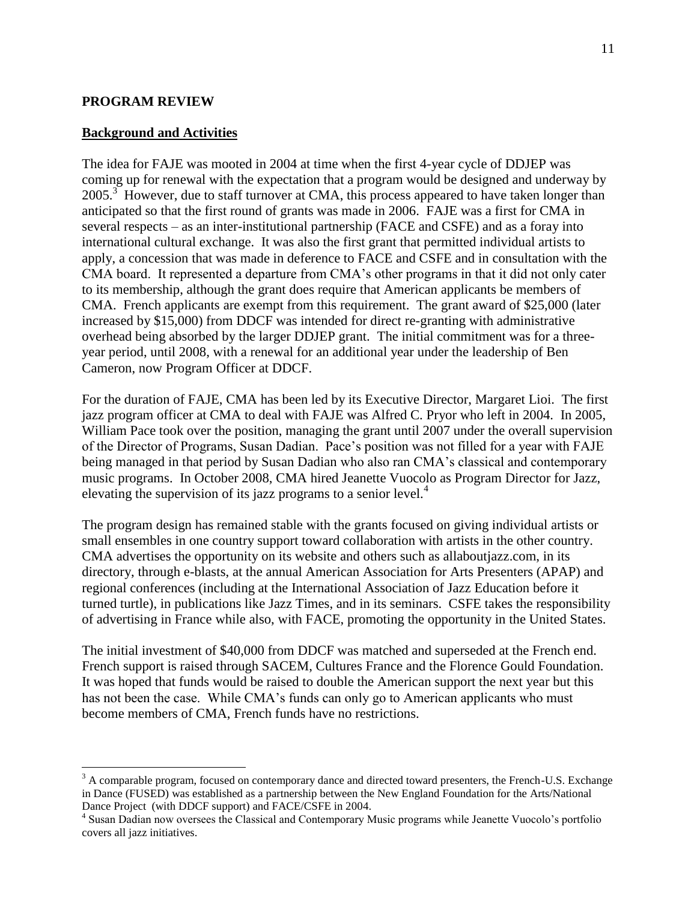#### **PROGRAM REVIEW**

 $\overline{a}$ 

#### **Background and Activities**

The idea for FAJE was mooted in 2004 at time when the first 4-year cycle of DDJEP was coming up for renewal with the expectation that a program would be designed and underway by 2005.<sup>3</sup> However, due to staff turnover at CMA, this process appeared to have taken longer than anticipated so that the first round of grants was made in 2006. FAJE was a first for CMA in several respects – as an inter-institutional partnership (FACE and CSFE) and as a foray into international cultural exchange. It was also the first grant that permitted individual artists to apply, a concession that was made in deference to FACE and CSFE and in consultation with the CMA board. It represented a departure from CMA"s other programs in that it did not only cater to its membership, although the grant does require that American applicants be members of CMA. French applicants are exempt from this requirement. The grant award of \$25,000 (later increased by \$15,000) from DDCF was intended for direct re-granting with administrative overhead being absorbed by the larger DDJEP grant. The initial commitment was for a threeyear period, until 2008, with a renewal for an additional year under the leadership of Ben Cameron, now Program Officer at DDCF.

For the duration of FAJE, CMA has been led by its Executive Director, Margaret Lioi. The first jazz program officer at CMA to deal with FAJE was Alfred C. Pryor who left in 2004. In 2005, William Pace took over the position, managing the grant until 2007 under the overall supervision of the Director of Programs, Susan Dadian. Pace"s position was not filled for a year with FAJE being managed in that period by Susan Dadian who also ran CMA"s classical and contemporary music programs. In October 2008, CMA hired Jeanette Vuocolo as Program Director for Jazz, elevating the supervision of its jazz programs to a senior level.<sup>4</sup>

The program design has remained stable with the grants focused on giving individual artists or small ensembles in one country support toward collaboration with artists in the other country. CMA advertises the opportunity on its website and others such as allaboutjazz.com, in its directory, through e-blasts, at the annual American Association for Arts Presenters (APAP) and regional conferences (including at the International Association of Jazz Education before it turned turtle), in publications like Jazz Times, and in its seminars. CSFE takes the responsibility of advertising in France while also, with FACE, promoting the opportunity in the United States.

The initial investment of \$40,000 from DDCF was matched and superseded at the French end. French support is raised through SACEM, Cultures France and the Florence Gould Foundation. It was hoped that funds would be raised to double the American support the next year but this has not been the case. While CMA's funds can only go to American applicants who must become members of CMA, French funds have no restrictions.

 $3$  A comparable program, focused on contemporary dance and directed toward presenters, the French-U.S. Exchange in Dance (FUSED) was established as a partnership between the New England Foundation for the Arts/National Dance Project (with DDCF support) and FACE/CSFE in 2004.

<sup>4</sup> Susan Dadian now oversees the Classical and Contemporary Music programs while Jeanette Vuocolo"s portfolio covers all jazz initiatives.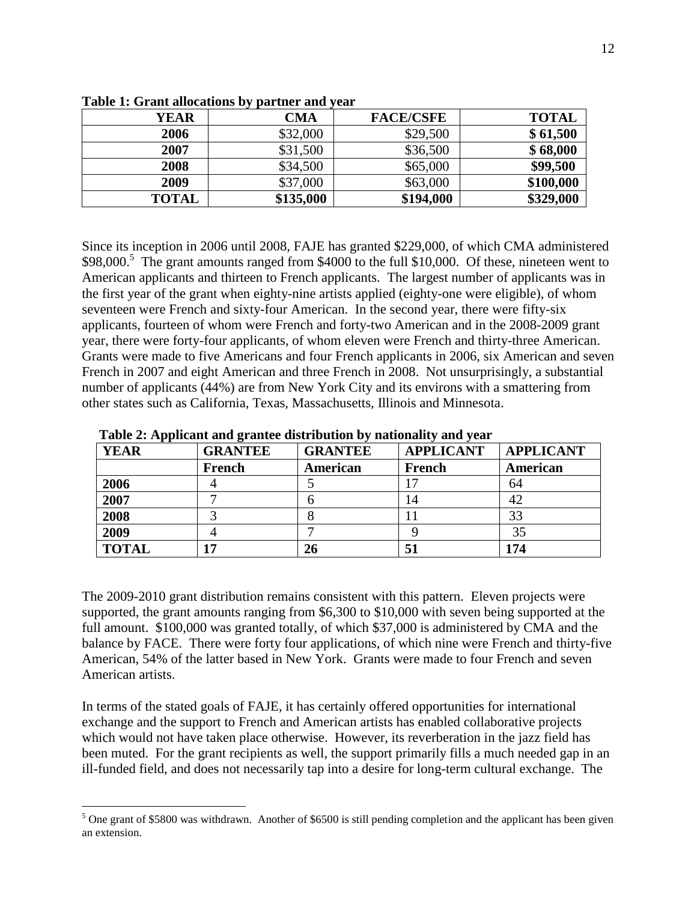| YEAR         | <b>CMA</b> | <b>FACE/CSFE</b> | <b>TOTAL</b> |
|--------------|------------|------------------|--------------|
| 2006         | \$32,000   | \$29,500         | \$61,500     |
| 2007         | \$31,500   | \$36,500         | \$68,000     |
| 2008         | \$34,500   | \$65,000         | \$99,500     |
| 2009         | \$37,000   | \$63,000         | \$100,000    |
| <b>TOTAL</b> | \$135,000  | \$194,000        | \$329,000    |

**Table 1: Grant allocations by partner and year**

Since its inception in 2006 until 2008, FAJE has granted \$229,000, of which CMA administered \$98,000.<sup>5</sup> The grant amounts ranged from \$4000 to the full \$10,000. Of these, nineteen went to American applicants and thirteen to French applicants. The largest number of applicants was in the first year of the grant when eighty-nine artists applied (eighty-one were eligible), of whom seventeen were French and sixty-four American. In the second year, there were fifty-six applicants, fourteen of whom were French and forty-two American and in the 2008-2009 grant year, there were forty-four applicants, of whom eleven were French and thirty-three American. Grants were made to five Americans and four French applicants in 2006, six American and seven French in 2007 and eight American and three French in 2008. Not unsurprisingly, a substantial number of applicants (44%) are from New York City and its environs with a smattering from other states such as California, Texas, Massachusetts, Illinois and Minnesota.

| <b>YEAR</b>  | <b>GRANTEE</b> | <b>GRANTEE</b> | <b>APPLICANT</b> | <b>APPLICANT</b> |
|--------------|----------------|----------------|------------------|------------------|
|              | French         | American       | French           | American         |
| 2006         |                |                |                  | 64               |
| 2007         |                |                | 14               | 42               |
| 2008         |                |                |                  | 33               |
| 2009         |                |                |                  | 35               |
| <b>TOTAL</b> | 17             | 26             | 51               | 174              |

 **Table 2: Applicant and grantee distribution by nationality and year**

The 2009-2010 grant distribution remains consistent with this pattern. Eleven projects were supported, the grant amounts ranging from \$6,300 to \$10,000 with seven being supported at the full amount. \$100,000 was granted totally, of which \$37,000 is administered by CMA and the balance by FACE. There were forty four applications, of which nine were French and thirty-five American, 54% of the latter based in New York. Grants were made to four French and seven American artists.

In terms of the stated goals of FAJE, it has certainly offered opportunities for international exchange and the support to French and American artists has enabled collaborative projects which would not have taken place otherwise. However, its reverberation in the jazz field has been muted. For the grant recipients as well, the support primarily fills a much needed gap in an ill-funded field, and does not necessarily tap into a desire for long-term cultural exchange. The

 $\overline{a}$ 

 $5$  One grant of \$5800 was withdrawn. Another of \$6500 is still pending completion and the applicant has been given an extension.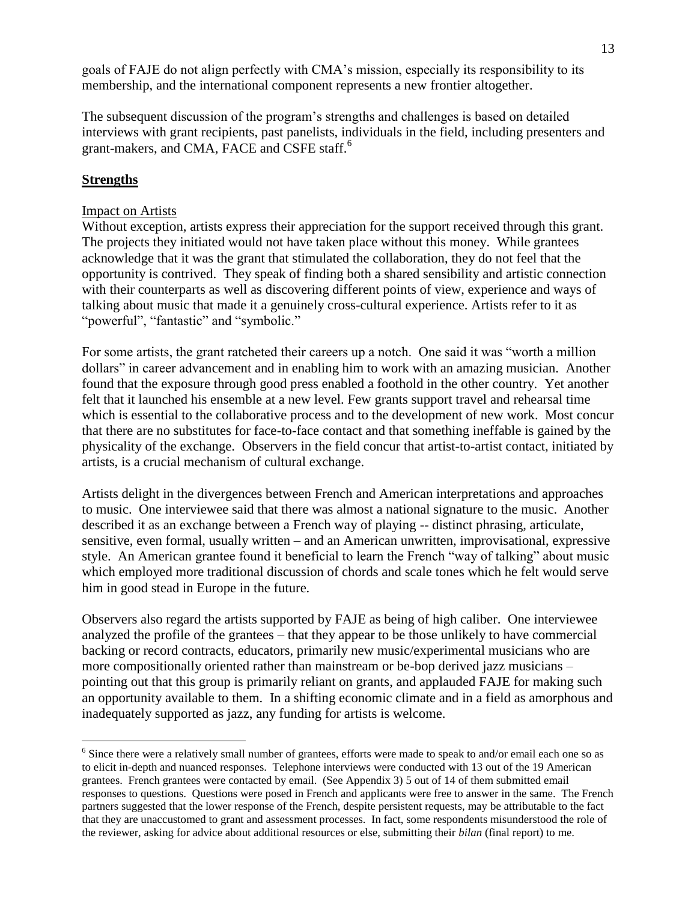goals of FAJE do not align perfectly with CMA"s mission, especially its responsibility to its membership, and the international component represents a new frontier altogether.

The subsequent discussion of the program"s strengths and challenges is based on detailed interviews with grant recipients, past panelists, individuals in the field, including presenters and grant-makers, and CMA, FACE and CSFE staff.<sup>6</sup>

## **Strengths**

 $\overline{a}$ 

#### Impact on Artists

Without exception, artists express their appreciation for the support received through this grant. The projects they initiated would not have taken place without this money. While grantees acknowledge that it was the grant that stimulated the collaboration, they do not feel that the opportunity is contrived. They speak of finding both a shared sensibility and artistic connection with their counterparts as well as discovering different points of view, experience and ways of talking about music that made it a genuinely cross-cultural experience. Artists refer to it as "powerful", "fantastic" and "symbolic."

For some artists, the grant ratcheted their careers up a notch. One said it was "worth a million dollars" in career advancement and in enabling him to work with an amazing musician. Another found that the exposure through good press enabled a foothold in the other country. Yet another felt that it launched his ensemble at a new level. Few grants support travel and rehearsal time which is essential to the collaborative process and to the development of new work. Most concur that there are no substitutes for face-to-face contact and that something ineffable is gained by the physicality of the exchange. Observers in the field concur that artist-to-artist contact, initiated by artists, is a crucial mechanism of cultural exchange.

Artists delight in the divergences between French and American interpretations and approaches to music. One interviewee said that there was almost a national signature to the music. Another described it as an exchange between a French way of playing -- distinct phrasing, articulate, sensitive, even formal, usually written – and an American unwritten, improvisational, expressive style. An American grantee found it beneficial to learn the French "way of talking" about music which employed more traditional discussion of chords and scale tones which he felt would serve him in good stead in Europe in the future.

Observers also regard the artists supported by FAJE as being of high caliber. One interviewee analyzed the profile of the grantees – that they appear to be those unlikely to have commercial backing or record contracts, educators, primarily new music/experimental musicians who are more compositionally oriented rather than mainstream or be-bop derived jazz musicians – pointing out that this group is primarily reliant on grants, and applauded FAJE for making such an opportunity available to them. In a shifting economic climate and in a field as amorphous and inadequately supported as jazz, any funding for artists is welcome.

<sup>&</sup>lt;sup>6</sup> Since there were a relatively small number of grantees, efforts were made to speak to and/or email each one so as to elicit in-depth and nuanced responses. Telephone interviews were conducted with 13 out of the 19 American grantees. French grantees were contacted by email. (See Appendix 3) 5 out of 14 of them submitted email responses to questions. Questions were posed in French and applicants were free to answer in the same. The French partners suggested that the lower response of the French, despite persistent requests, may be attributable to the fact that they are unaccustomed to grant and assessment processes. In fact, some respondents misunderstood the role of the reviewer, asking for advice about additional resources or else, submitting their *bilan* (final report) to me.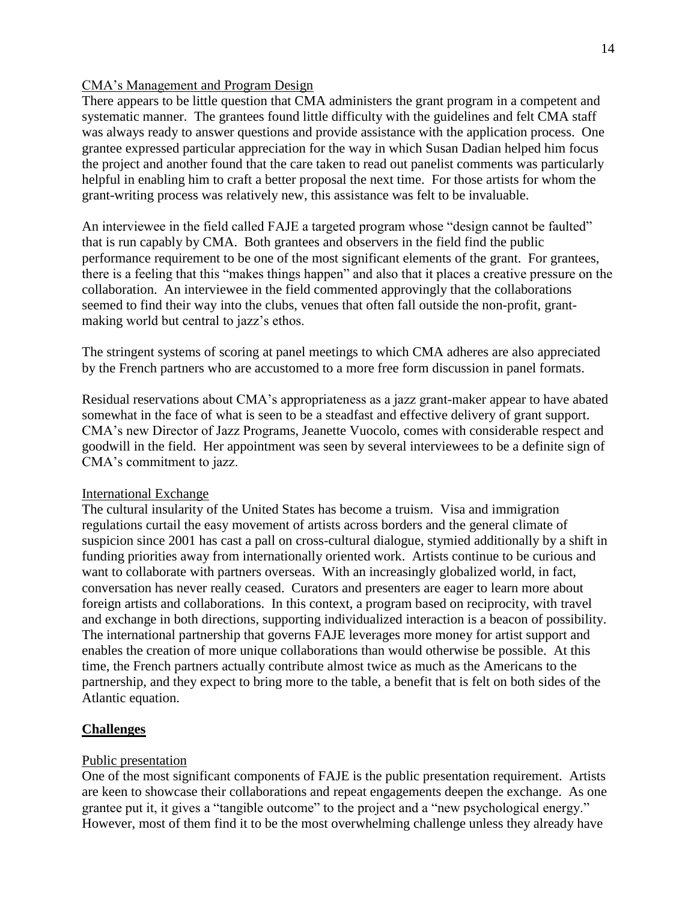## CMA"s Management and Program Design

There appears to be little question that CMA administers the grant program in a competent and systematic manner. The grantees found little difficulty with the guidelines and felt CMA staff was always ready to answer questions and provide assistance with the application process. One grantee expressed particular appreciation for the way in which Susan Dadian helped him focus the project and another found that the care taken to read out panelist comments was particularly helpful in enabling him to craft a better proposal the next time. For those artists for whom the grant-writing process was relatively new, this assistance was felt to be invaluable.

An interviewee in the field called FAJE a targeted program whose "design cannot be faulted" that is run capably by CMA. Both grantees and observers in the field find the public performance requirement to be one of the most significant elements of the grant. For grantees, there is a feeling that this "makes things happen" and also that it places a creative pressure on the collaboration. An interviewee in the field commented approvingly that the collaborations seemed to find their way into the clubs, venues that often fall outside the non-profit, grantmaking world but central to jazz's ethos.

The stringent systems of scoring at panel meetings to which CMA adheres are also appreciated by the French partners who are accustomed to a more free form discussion in panel formats.

Residual reservations about CMA"s appropriateness as a jazz grant-maker appear to have abated somewhat in the face of what is seen to be a steadfast and effective delivery of grant support. CMA"s new Director of Jazz Programs, Jeanette Vuocolo, comes with considerable respect and goodwill in the field. Her appointment was seen by several interviewees to be a definite sign of CMA"s commitment to jazz.

## International Exchange

The cultural insularity of the United States has become a truism. Visa and immigration regulations curtail the easy movement of artists across borders and the general climate of suspicion since 2001 has cast a pall on cross-cultural dialogue, stymied additionally by a shift in funding priorities away from internationally oriented work. Artists continue to be curious and want to collaborate with partners overseas. With an increasingly globalized world, in fact, conversation has never really ceased. Curators and presenters are eager to learn more about foreign artists and collaborations. In this context, a program based on reciprocity, with travel and exchange in both directions, supporting individualized interaction is a beacon of possibility. The international partnership that governs FAJE leverages more money for artist support and enables the creation of more unique collaborations than would otherwise be possible. At this time, the French partners actually contribute almost twice as much as the Americans to the partnership, and they expect to bring more to the table, a benefit that is felt on both sides of the Atlantic equation.

## **Challenges**

#### Public presentation

One of the most significant components of FAJE is the public presentation requirement. Artists are keen to showcase their collaborations and repeat engagements deepen the exchange. As one grantee put it, it gives a "tangible outcome" to the project and a "new psychological energy." However, most of them find it to be the most overwhelming challenge unless they already have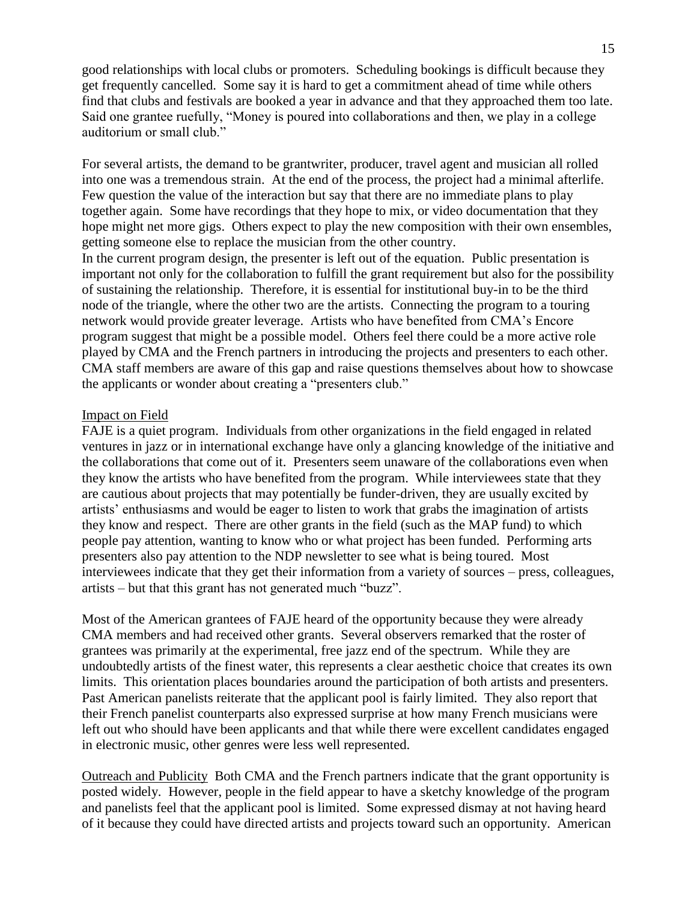good relationships with local clubs or promoters. Scheduling bookings is difficult because they get frequently cancelled. Some say it is hard to get a commitment ahead of time while others find that clubs and festivals are booked a year in advance and that they approached them too late. Said one grantee ruefully, "Money is poured into collaborations and then, we play in a college auditorium or small club."

For several artists, the demand to be grantwriter, producer, travel agent and musician all rolled into one was a tremendous strain. At the end of the process, the project had a minimal afterlife. Few question the value of the interaction but say that there are no immediate plans to play together again. Some have recordings that they hope to mix, or video documentation that they hope might net more gigs. Others expect to play the new composition with their own ensembles, getting someone else to replace the musician from the other country.

In the current program design, the presenter is left out of the equation. Public presentation is important not only for the collaboration to fulfill the grant requirement but also for the possibility of sustaining the relationship. Therefore, it is essential for institutional buy-in to be the third node of the triangle, where the other two are the artists. Connecting the program to a touring network would provide greater leverage. Artists who have benefited from CMA"s Encore program suggest that might be a possible model. Others feel there could be a more active role played by CMA and the French partners in introducing the projects and presenters to each other. CMA staff members are aware of this gap and raise questions themselves about how to showcase the applicants or wonder about creating a "presenters club."

#### Impact on Field

FAJE is a quiet program. Individuals from other organizations in the field engaged in related ventures in jazz or in international exchange have only a glancing knowledge of the initiative and the collaborations that come out of it. Presenters seem unaware of the collaborations even when they know the artists who have benefited from the program. While interviewees state that they are cautious about projects that may potentially be funder-driven, they are usually excited by artists" enthusiasms and would be eager to listen to work that grabs the imagination of artists they know and respect. There are other grants in the field (such as the MAP fund) to which people pay attention, wanting to know who or what project has been funded. Performing arts presenters also pay attention to the NDP newsletter to see what is being toured. Most interviewees indicate that they get their information from a variety of sources – press, colleagues, artists – but that this grant has not generated much "buzz".

Most of the American grantees of FAJE heard of the opportunity because they were already CMA members and had received other grants. Several observers remarked that the roster of grantees was primarily at the experimental, free jazz end of the spectrum. While they are undoubtedly artists of the finest water, this represents a clear aesthetic choice that creates its own limits. This orientation places boundaries around the participation of both artists and presenters. Past American panelists reiterate that the applicant pool is fairly limited. They also report that their French panelist counterparts also expressed surprise at how many French musicians were left out who should have been applicants and that while there were excellent candidates engaged in electronic music, other genres were less well represented.

Outreach and Publicity Both CMA and the French partners indicate that the grant opportunity is posted widely. However, people in the field appear to have a sketchy knowledge of the program and panelists feel that the applicant pool is limited. Some expressed dismay at not having heard of it because they could have directed artists and projects toward such an opportunity. American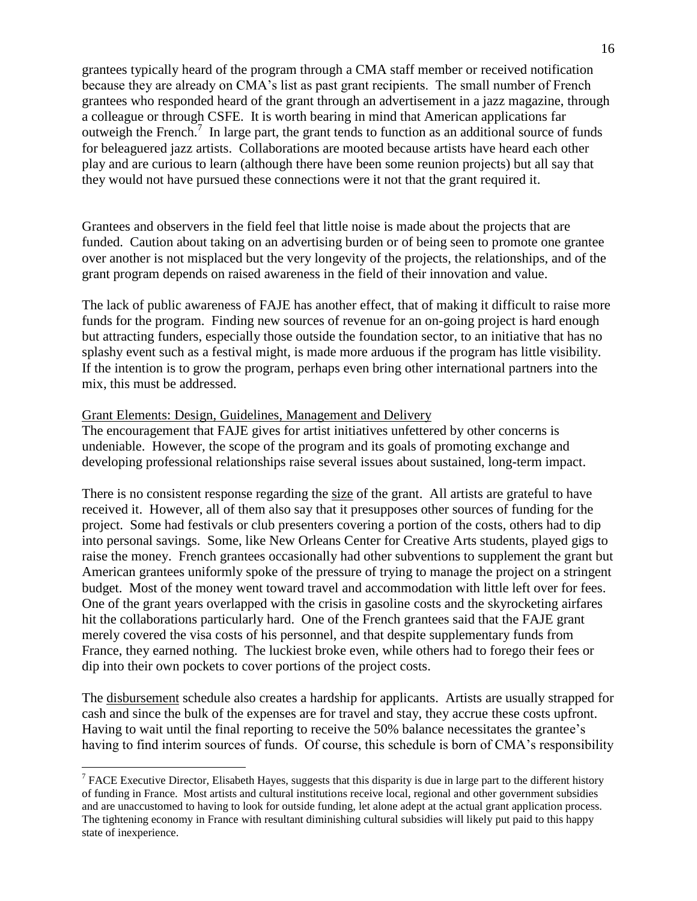grantees typically heard of the program through a CMA staff member or received notification because they are already on CMA"s list as past grant recipients. The small number of French grantees who responded heard of the grant through an advertisement in a jazz magazine, through a colleague or through CSFE. It is worth bearing in mind that American applications far outweigh the French.<sup>7</sup> In large part, the grant tends to function as an additional source of funds for beleaguered jazz artists. Collaborations are mooted because artists have heard each other play and are curious to learn (although there have been some reunion projects) but all say that they would not have pursued these connections were it not that the grant required it.

Grantees and observers in the field feel that little noise is made about the projects that are funded. Caution about taking on an advertising burden or of being seen to promote one grantee over another is not misplaced but the very longevity of the projects, the relationships, and of the grant program depends on raised awareness in the field of their innovation and value.

The lack of public awareness of FAJE has another effect, that of making it difficult to raise more funds for the program. Finding new sources of revenue for an on-going project is hard enough but attracting funders, especially those outside the foundation sector, to an initiative that has no splashy event such as a festival might, is made more arduous if the program has little visibility. If the intention is to grow the program, perhaps even bring other international partners into the mix, this must be addressed.

#### Grant Elements: Design, Guidelines, Management and Delivery

 $\overline{a}$ 

The encouragement that FAJE gives for artist initiatives unfettered by other concerns is undeniable. However, the scope of the program and its goals of promoting exchange and developing professional relationships raise several issues about sustained, long-term impact.

There is no consistent response regarding the size of the grant. All artists are grateful to have received it. However, all of them also say that it presupposes other sources of funding for the project. Some had festivals or club presenters covering a portion of the costs, others had to dip into personal savings. Some, like New Orleans Center for Creative Arts students, played gigs to raise the money. French grantees occasionally had other subventions to supplement the grant but American grantees uniformly spoke of the pressure of trying to manage the project on a stringent budget. Most of the money went toward travel and accommodation with little left over for fees. One of the grant years overlapped with the crisis in gasoline costs and the skyrocketing airfares hit the collaborations particularly hard. One of the French grantees said that the FAJE grant merely covered the visa costs of his personnel, and that despite supplementary funds from France, they earned nothing. The luckiest broke even, while others had to forego their fees or dip into their own pockets to cover portions of the project costs.

The disbursement schedule also creates a hardship for applicants. Artists are usually strapped for cash and since the bulk of the expenses are for travel and stay, they accrue these costs upfront. Having to wait until the final reporting to receive the 50% balance necessitates the grantee's having to find interim sources of funds. Of course, this schedule is born of CMA's responsibility

<sup>&</sup>lt;sup>7</sup> FACE Executive Director, Elisabeth Hayes, suggests that this disparity is due in large part to the different history of funding in France. Most artists and cultural institutions receive local, regional and other government subsidies and are unaccustomed to having to look for outside funding, let alone adept at the actual grant application process. The tightening economy in France with resultant diminishing cultural subsidies will likely put paid to this happy state of inexperience.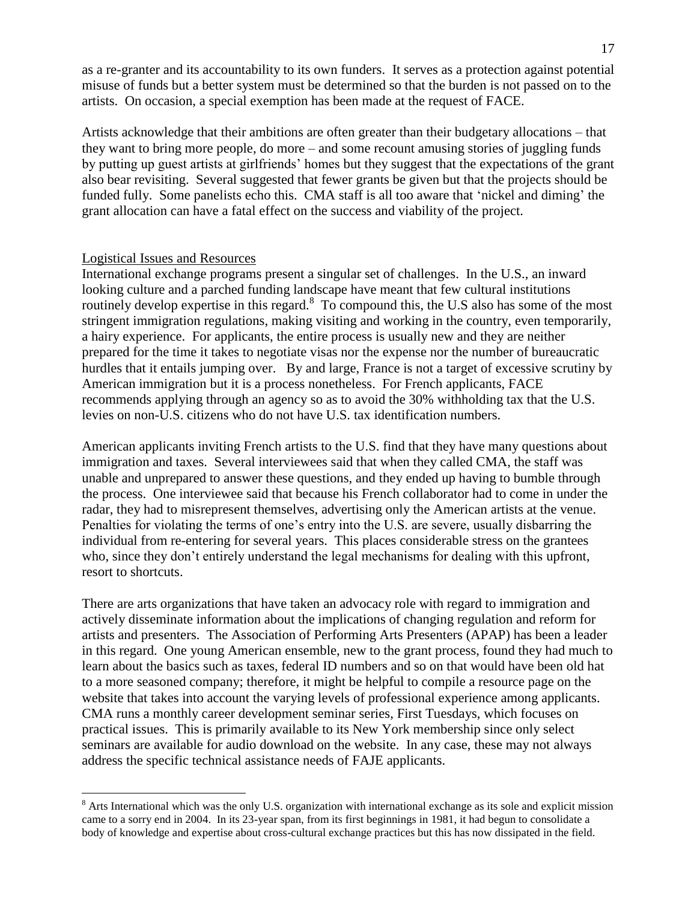as a re-granter and its accountability to its own funders. It serves as a protection against potential misuse of funds but a better system must be determined so that the burden is not passed on to the artists. On occasion, a special exemption has been made at the request of FACE.

Artists acknowledge that their ambitions are often greater than their budgetary allocations – that they want to bring more people, do more – and some recount amusing stories of juggling funds by putting up guest artists at girlfriends" homes but they suggest that the expectations of the grant also bear revisiting. Several suggested that fewer grants be given but that the projects should be funded fully. Some panelists echo this. CMA staff is all too aware that 'nickel and diming' the grant allocation can have a fatal effect on the success and viability of the project.

#### Logistical Issues and Resources

 $\overline{a}$ 

International exchange programs present a singular set of challenges. In the U.S., an inward looking culture and a parched funding landscape have meant that few cultural institutions routinely develop expertise in this regard.<sup>8</sup> To compound this, the U.S also has some of the most stringent immigration regulations, making visiting and working in the country, even temporarily, a hairy experience. For applicants, the entire process is usually new and they are neither prepared for the time it takes to negotiate visas nor the expense nor the number of bureaucratic hurdles that it entails jumping over. By and large, France is not a target of excessive scrutiny by American immigration but it is a process nonetheless. For French applicants, FACE recommends applying through an agency so as to avoid the 30% withholding tax that the U.S. levies on non-U.S. citizens who do not have U.S. tax identification numbers.

American applicants inviting French artists to the U.S. find that they have many questions about immigration and taxes. Several interviewees said that when they called CMA, the staff was unable and unprepared to answer these questions, and they ended up having to bumble through the process. One interviewee said that because his French collaborator had to come in under the radar, they had to misrepresent themselves, advertising only the American artists at the venue. Penalties for violating the terms of one"s entry into the U.S. are severe, usually disbarring the individual from re-entering for several years. This places considerable stress on the grantees who, since they don't entirely understand the legal mechanisms for dealing with this upfront, resort to shortcuts.

There are arts organizations that have taken an advocacy role with regard to immigration and actively disseminate information about the implications of changing regulation and reform for artists and presenters. The Association of Performing Arts Presenters (APAP) has been a leader in this regard. One young American ensemble, new to the grant process, found they had much to learn about the basics such as taxes, federal ID numbers and so on that would have been old hat to a more seasoned company; therefore, it might be helpful to compile a resource page on the website that takes into account the varying levels of professional experience among applicants. CMA runs a monthly career development seminar series, First Tuesdays, which focuses on practical issues. This is primarily available to its New York membership since only select seminars are available for audio download on the website. In any case, these may not always address the specific technical assistance needs of FAJE applicants.

<sup>&</sup>lt;sup>8</sup> Arts International which was the only U.S. organization with international exchange as its sole and explicit mission came to a sorry end in 2004. In its 23-year span, from its first beginnings in 1981, it had begun to consolidate a body of knowledge and expertise about cross-cultural exchange practices but this has now dissipated in the field.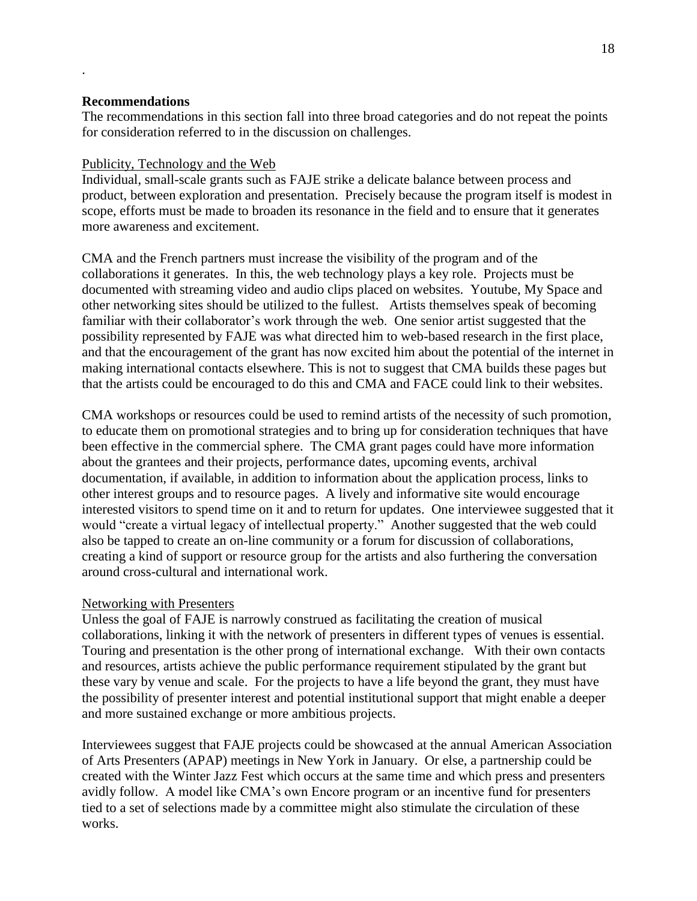#### **Recommendations**

.

The recommendations in this section fall into three broad categories and do not repeat the points for consideration referred to in the discussion on challenges.

#### Publicity, Technology and the Web

Individual, small-scale grants such as FAJE strike a delicate balance between process and product, between exploration and presentation. Precisely because the program itself is modest in scope, efforts must be made to broaden its resonance in the field and to ensure that it generates more awareness and excitement.

CMA and the French partners must increase the visibility of the program and of the collaborations it generates. In this, the web technology plays a key role. Projects must be documented with streaming video and audio clips placed on websites. Youtube, My Space and other networking sites should be utilized to the fullest. Artists themselves speak of becoming familiar with their collaborator's work through the web. One senior artist suggested that the possibility represented by FAJE was what directed him to web-based research in the first place, and that the encouragement of the grant has now excited him about the potential of the internet in making international contacts elsewhere. This is not to suggest that CMA builds these pages but that the artists could be encouraged to do this and CMA and FACE could link to their websites.

CMA workshops or resources could be used to remind artists of the necessity of such promotion, to educate them on promotional strategies and to bring up for consideration techniques that have been effective in the commercial sphere. The CMA grant pages could have more information about the grantees and their projects, performance dates, upcoming events, archival documentation, if available, in addition to information about the application process, links to other interest groups and to resource pages. A lively and informative site would encourage interested visitors to spend time on it and to return for updates. One interviewee suggested that it would "create a virtual legacy of intellectual property." Another suggested that the web could also be tapped to create an on-line community or a forum for discussion of collaborations, creating a kind of support or resource group for the artists and also furthering the conversation around cross-cultural and international work.

## Networking with Presenters

Unless the goal of FAJE is narrowly construed as facilitating the creation of musical collaborations, linking it with the network of presenters in different types of venues is essential. Touring and presentation is the other prong of international exchange. With their own contacts and resources, artists achieve the public performance requirement stipulated by the grant but these vary by venue and scale. For the projects to have a life beyond the grant, they must have the possibility of presenter interest and potential institutional support that might enable a deeper and more sustained exchange or more ambitious projects.

Interviewees suggest that FAJE projects could be showcased at the annual American Association of Arts Presenters (APAP) meetings in New York in January. Or else, a partnership could be created with the Winter Jazz Fest which occurs at the same time and which press and presenters avidly follow. A model like CMA"s own Encore program or an incentive fund for presenters tied to a set of selections made by a committee might also stimulate the circulation of these works.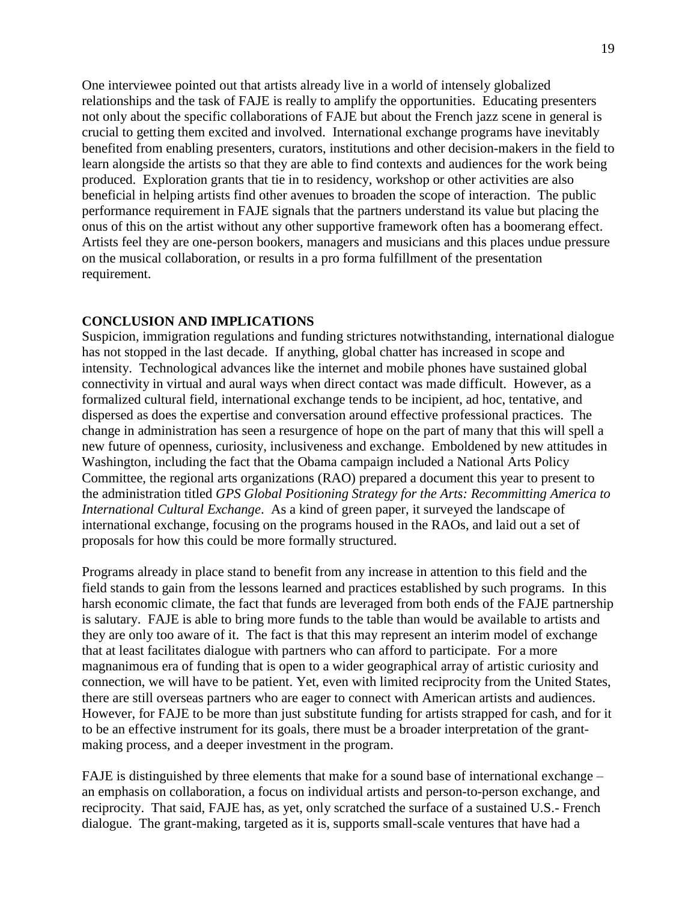One interviewee pointed out that artists already live in a world of intensely globalized relationships and the task of FAJE is really to amplify the opportunities. Educating presenters not only about the specific collaborations of FAJE but about the French jazz scene in general is crucial to getting them excited and involved. International exchange programs have inevitably benefited from enabling presenters, curators, institutions and other decision-makers in the field to learn alongside the artists so that they are able to find contexts and audiences for the work being produced. Exploration grants that tie in to residency, workshop or other activities are also beneficial in helping artists find other avenues to broaden the scope of interaction. The public performance requirement in FAJE signals that the partners understand its value but placing the onus of this on the artist without any other supportive framework often has a boomerang effect. Artists feel they are one-person bookers, managers and musicians and this places undue pressure on the musical collaboration, or results in a pro forma fulfillment of the presentation requirement.

## **CONCLUSION AND IMPLICATIONS**

Suspicion, immigration regulations and funding strictures notwithstanding, international dialogue has not stopped in the last decade. If anything, global chatter has increased in scope and intensity. Technological advances like the internet and mobile phones have sustained global connectivity in virtual and aural ways when direct contact was made difficult. However, as a formalized cultural field, international exchange tends to be incipient, ad hoc, tentative, and dispersed as does the expertise and conversation around effective professional practices. The change in administration has seen a resurgence of hope on the part of many that this will spell a new future of openness, curiosity, inclusiveness and exchange. Emboldened by new attitudes in Washington, including the fact that the Obama campaign included a National Arts Policy Committee, the regional arts organizations (RAO) prepared a document this year to present to the administration titled *GPS Global Positioning Strategy for the Arts: Recommitting America to International Cultural Exchange*. As a kind of green paper, it surveyed the landscape of international exchange, focusing on the programs housed in the RAOs, and laid out a set of proposals for how this could be more formally structured.

Programs already in place stand to benefit from any increase in attention to this field and the field stands to gain from the lessons learned and practices established by such programs. In this harsh economic climate, the fact that funds are leveraged from both ends of the FAJE partnership is salutary. FAJE is able to bring more funds to the table than would be available to artists and they are only too aware of it. The fact is that this may represent an interim model of exchange that at least facilitates dialogue with partners who can afford to participate. For a more magnanimous era of funding that is open to a wider geographical array of artistic curiosity and connection, we will have to be patient. Yet, even with limited reciprocity from the United States, there are still overseas partners who are eager to connect with American artists and audiences. However, for FAJE to be more than just substitute funding for artists strapped for cash, and for it to be an effective instrument for its goals, there must be a broader interpretation of the grantmaking process, and a deeper investment in the program.

FAJE is distinguished by three elements that make for a sound base of international exchange – an emphasis on collaboration, a focus on individual artists and person-to-person exchange, and reciprocity. That said, FAJE has, as yet, only scratched the surface of a sustained U.S.- French dialogue. The grant-making, targeted as it is, supports small-scale ventures that have had a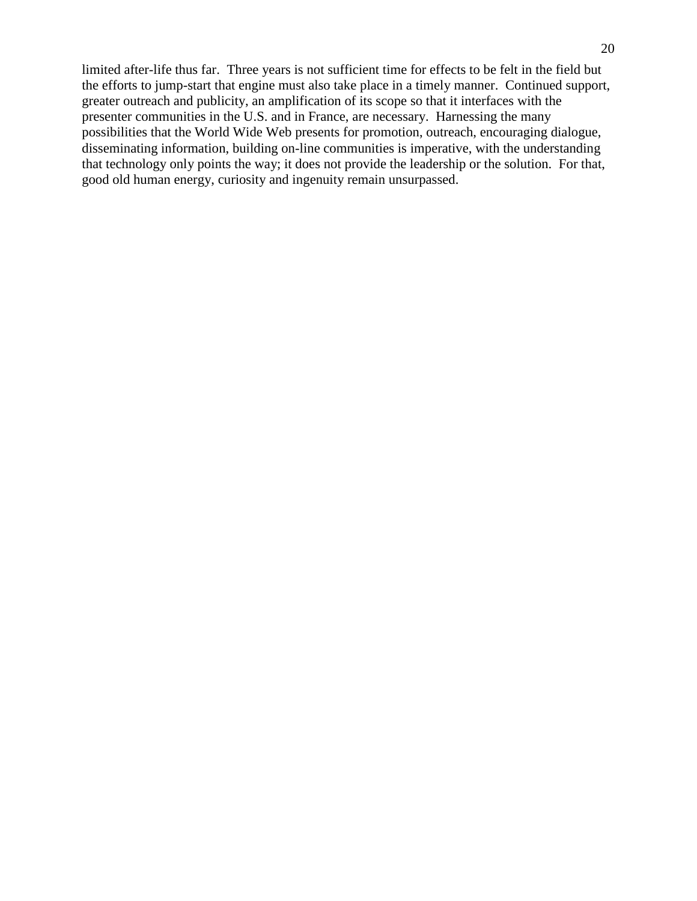limited after-life thus far. Three years is not sufficient time for effects to be felt in the field but the efforts to jump-start that engine must also take place in a timely manner. Continued support, greater outreach and publicity, an amplification of its scope so that it interfaces with the presenter communities in the U.S. and in France, are necessary. Harnessing the many possibilities that the World Wide Web presents for promotion, outreach, encouraging dialogue, disseminating information, building on-line communities is imperative, with the understanding that technology only points the way; it does not provide the leadership or the solution. For that, good old human energy, curiosity and ingenuity remain unsurpassed.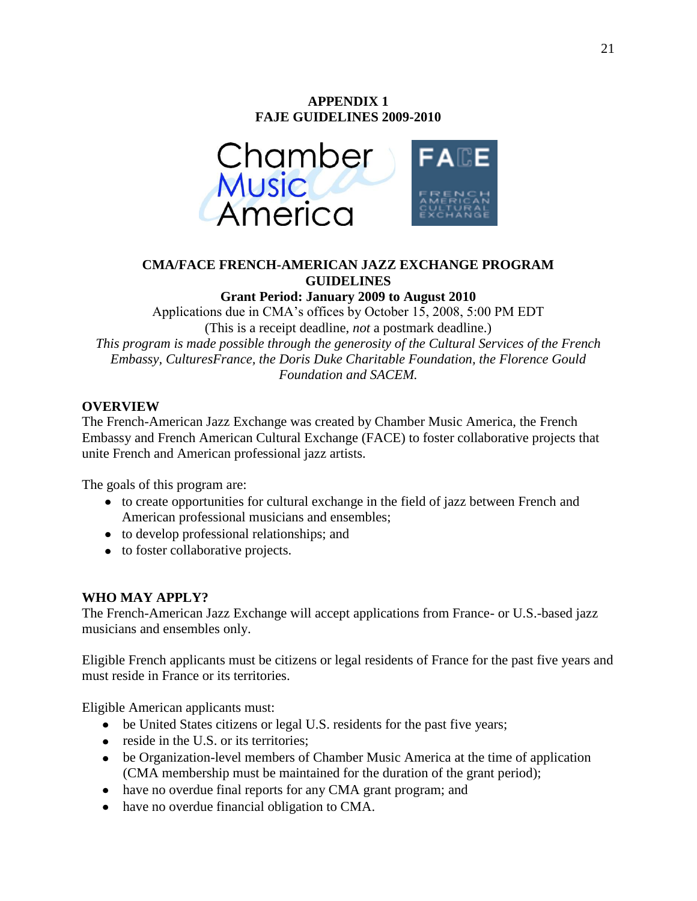# **APPENDIX 1 FAJE GUIDELINES 2009-2010**



## **CMA/FACE FRENCH-AMERICAN JAZZ EXCHANGE PROGRAM GUIDELINES**

**Grant Period: January 2009 to August 2010**

Applications due in CMA"s offices by October 15, 2008, 5:00 PM EDT (This is a receipt deadline, *not* a postmark deadline.) *This program is made possible through the generosity of the Cultural Services of the French Embassy, CulturesFrance, the Doris Duke Charitable Foundation, the Florence Gould Foundation and SACEM.*

## **OVERVIEW**

The French-American Jazz Exchange was created by Chamber Music America, the French Embassy and French American Cultural Exchange (FACE) to foster collaborative projects that unite French and American professional jazz artists.

The goals of this program are:

- to create opportunities for cultural exchange in the field of jazz between French and American professional musicians and ensembles;
- to develop professional relationships; and
- to foster collaborative projects.

## **WHO MAY APPLY?**

The French-American Jazz Exchange will accept applications from France- or U.S.-based jazz musicians and ensembles only.

Eligible French applicants must be citizens or legal residents of France for the past five years and must reside in France or its territories.

Eligible American applicants must:

- be United States citizens or legal U.S. residents for the past five years;
- reside in the U.S. or its territories;
- be Organization-level members of Chamber Music America at the time of application (CMA membership must be maintained for the duration of the grant period);
- have no overdue final reports for any CMA grant program; and
- have no overdue financial obligation to CMA.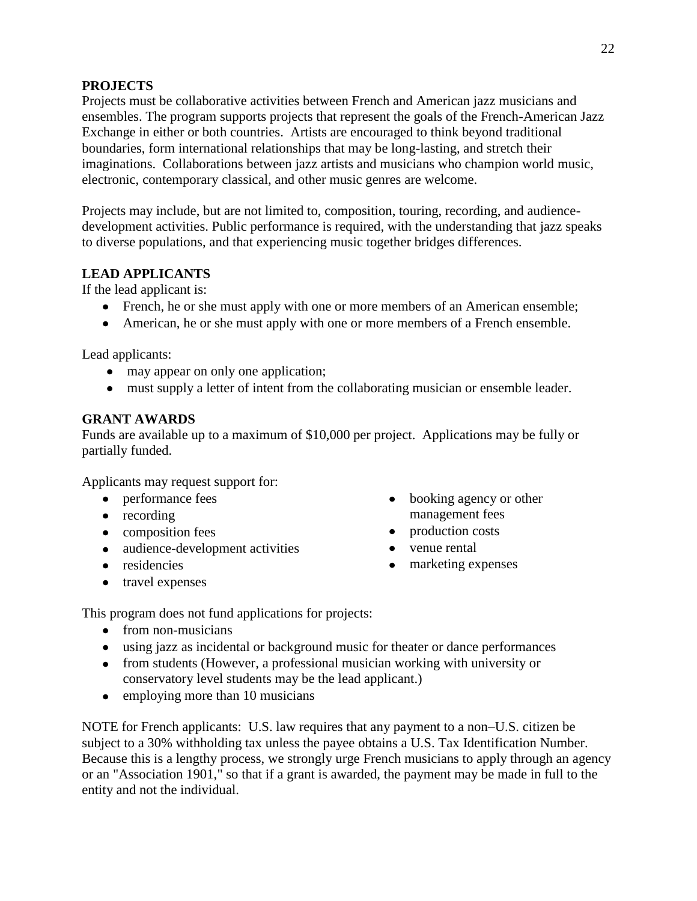## **PROJECTS**

Projects must be collaborative activities between French and American jazz musicians and ensembles. The program supports projects that represent the goals of the French-American Jazz Exchange in either or both countries. Artists are encouraged to think beyond traditional boundaries, form international relationships that may be long-lasting, and stretch their imaginations. Collaborations between jazz artists and musicians who champion world music, electronic, contemporary classical, and other music genres are welcome.

Projects may include, but are not limited to, composition, touring, recording, and audiencedevelopment activities. Public performance is required, with the understanding that jazz speaks to diverse populations, and that experiencing music together bridges differences.

## **LEAD APPLICANTS**

If the lead applicant is:

- French, he or she must apply with one or more members of an American ensemble;
- American, he or she must apply with one or more members of a French ensemble.

Lead applicants:

- may appear on only one application;
- must supply a letter of intent from the collaborating musician or ensemble leader.

## **GRANT AWARDS**

Funds are available up to a maximum of \$10,000 per project. Applications may be fully or partially funded.

Applicants may request support for:

- performance fees
- recording
- composition fees
- audience-development activities
- residencies
- travel expenses
- booking agency or other management fees
- production costs
- venue rental
- marketing expenses

This program does not fund applications for projects:

- from non-musicians
- using jazz as incidental or background music for theater or dance performances
- from students (However, a professional musician working with university or conservatory level students may be the lead applicant.)
- employing more than 10 musicians

NOTE for French applicants: U.S. law requires that any payment to a non–U.S. citizen be subject to a 30% withholding tax unless the payee obtains a U.S. Tax Identification Number. Because this is a lengthy process, we strongly urge French musicians to apply through an agency or an "Association 1901," so that if a grant is awarded, the payment may be made in full to the entity and not the individual.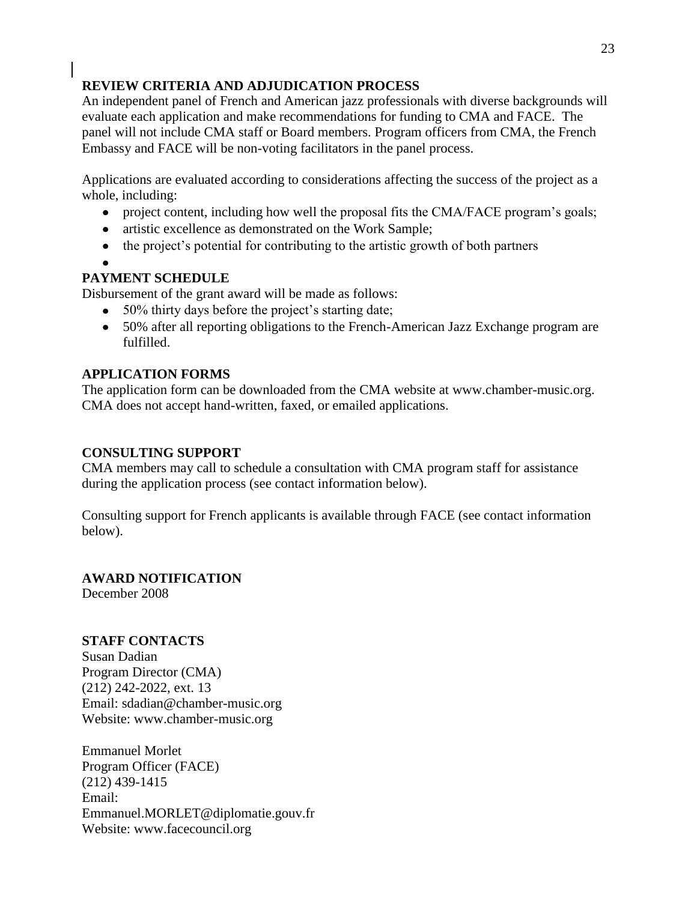## **REVIEW CRITERIA AND ADJUDICATION PROCESS**

An independent panel of French and American jazz professionals with diverse backgrounds will evaluate each application and make recommendations for funding to CMA and FACE. The panel will not include CMA staff or Board members. Program officers from CMA, the French Embassy and FACE will be non-voting facilitators in the panel process.

Applications are evaluated according to considerations affecting the success of the project as a whole, including:

- $\bullet$ project content, including how well the proposal fits the CMA/FACE program"s goals;
- artistic excellence as demonstrated on the Work Sample;
- the project's potential for contributing to the artistic growth of both partners

## **PAYMENT SCHEDULE**

Disbursement of the grant award will be made as follows:

- 50% thirty days before the project's starting date;
- 50% after all reporting obligations to the French-American Jazz Exchange program are fulfilled.

## **APPLICATION FORMS**

The application form can be downloaded from the CMA website at [www.chamber-music.org.](http://www.chamber-music.org/) CMA does not accept hand-written, faxed, or emailed applications.

## **CONSULTING SUPPORT**

CMA members may call to schedule a consultation with CMA program staff for assistance during the application process (see contact information below).

Consulting support for French applicants is available through FACE (see contact information below).

## **AWARD NOTIFICATION**

December 2008

## **STAFF CONTACTS**

Susan Dadian Program Director (CMA) (212) 242-2022, ext. 13 Email: sdadian@chamber-music.org Website: www.chamber-music.org

Emmanuel Morlet Program Officer (FACE) (212) 439-1415 Email: Emmanuel.MORLET@diplomatie.gouv.fr Website: www.facecouncil.org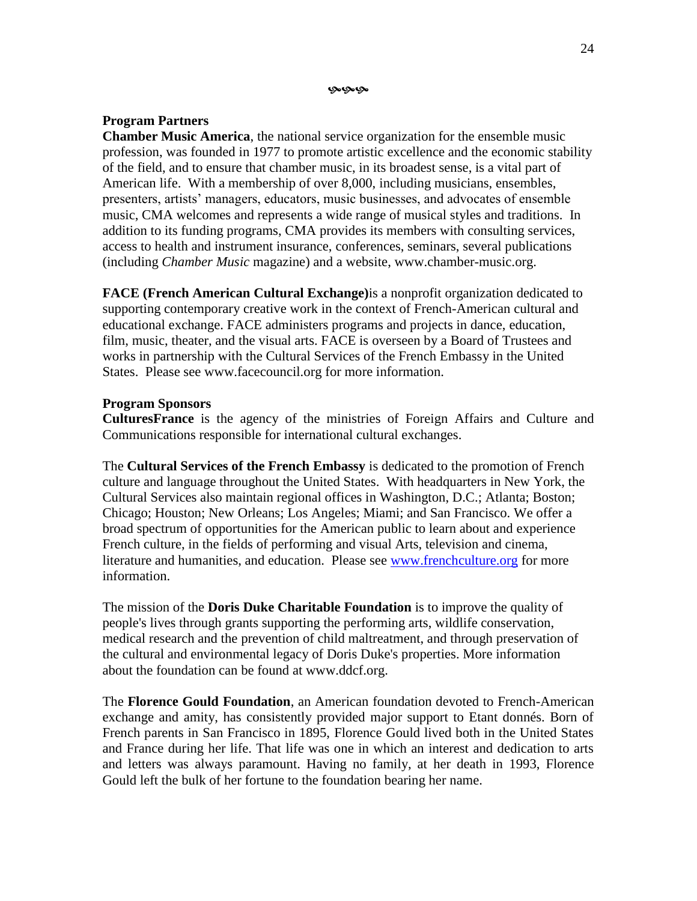مومومو

#### **Program Partners**

**Chamber Music America**, the national service organization for the ensemble music profession, was founded in 1977 to promote artistic excellence and the economic stability of the field, and to ensure that chamber music, in its broadest sense, is a vital part of American life. With a membership of over 8,000, including musicians, ensembles, presenters, artists" managers, educators, music businesses, and advocates of ensemble music, CMA welcomes and represents a wide range of musical styles and traditions. In addition to its funding programs, CMA provides its members with consulting services, access to health and instrument insurance, conferences, seminars, several publications (including *Chamber Music* magazine) and a website, www.chamber-music.org.

**FACE (French American Cultural Exchange)**is a nonprofit organization dedicated to supporting contemporary creative work in the context of French-American cultural and educational exchange. FACE administers programs and projects in dance, education, film, music, theater, and the visual arts. FACE is overseen by a Board of Trustees and works in partnership with the Cultural Services of the French Embassy in the United States. Please see www.facecouncil.org for more information.

#### **Program Sponsors**

**CulturesFrance** is the agency of the ministries of Foreign Affairs and Culture and Communications responsible for international cultural exchanges.

The **Cultural Services of the French Embassy** is dedicated to the promotion of French culture and language throughout the United States. With headquarters in New York, the Cultural Services also maintain regional offices in Washington, D.C.; Atlanta; Boston; Chicago; Houston; New Orleans; Los Angeles; Miami; and San Francisco. We offer a broad spectrum of opportunities for the American public to learn about and experience French culture, in the fields of performing and visual Arts, television and cinema, literature and humanities, and education. Please see [www.frenchculture.org](http://www.frenchculture.org/) for more information.

The mission of the **Doris Duke Charitable Foundation** is to improve the quality of people's lives through grants supporting the performing arts, wildlife conservation, medical research and the prevention of child maltreatment, and through preservation of the cultural and environmental legacy of Doris Duke's properties. More information about the foundation can be found at www.ddcf.org.

The **Florence Gould Foundation**, an American foundation devoted to French-American exchange and amity, has consistently provided major support to Etant donnés. Born of French parents in San Francisco in 1895, Florence Gould lived both in the United States and France during her life. That life was one in which an interest and dedication to arts and letters was always paramount. Having no family, at her death in 1993, Florence Gould left the bulk of her fortune to the foundation bearing her name.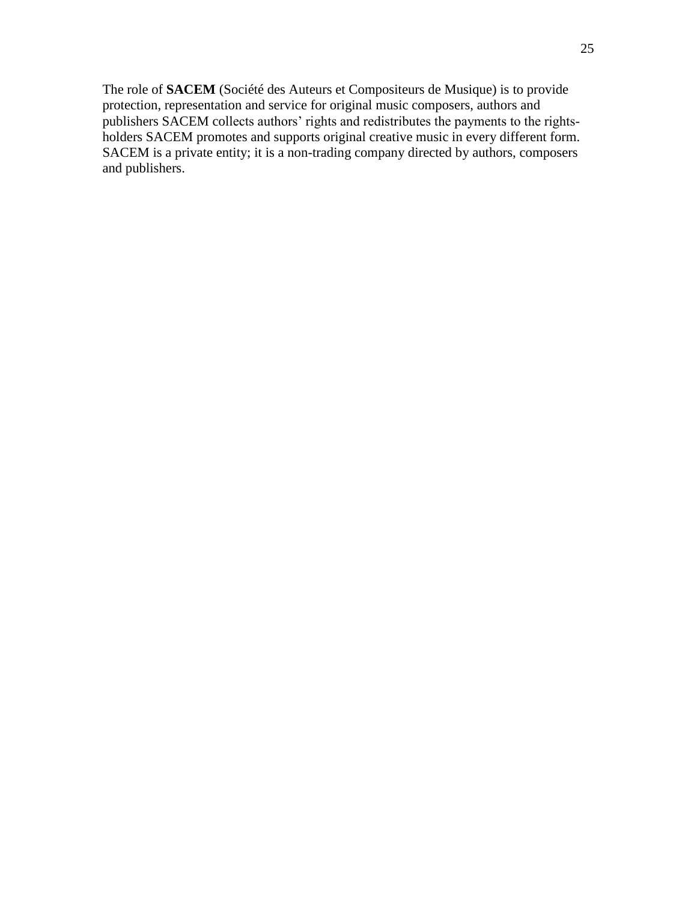The role of **SACEM** (Société des Auteurs et Compositeurs de Musique) is to provide protection, representation and service for original music composers, authors and publishers SACEM collects authors' rights and redistributes the payments to the rightsholders SACEM promotes and supports original creative music in every different form. SACEM is a private entity; it is a non-trading company directed by authors, composers and publishers.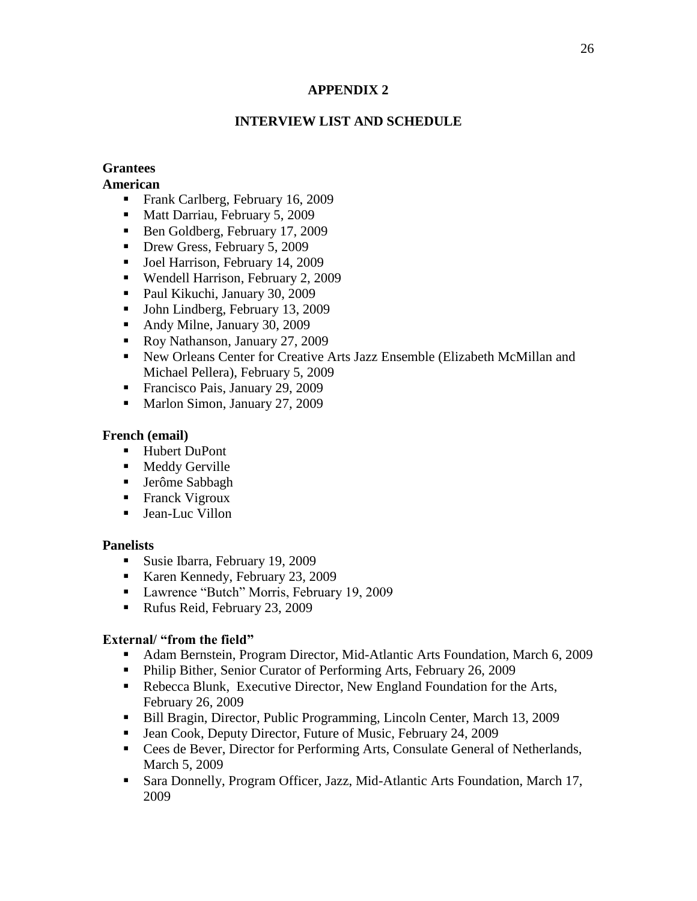## **APPENDIX 2**

## **INTERVIEW LIST AND SCHEDULE**

## **Grantees**

## **American**

- Frank Carlberg, February 16, 2009
- Matt Darriau, February 5, 2009
- Ben Goldberg, February 17, 2009
- Drew Gress, February 5, 2009
- **Joel Harrison, February 14, 2009**
- Wendell Harrison, February 2, 2009
- Paul Kikuchi, January 30, 2009
- Uphilter John Lindberg, February 13, 2009
- Andy Milne, January 30, 2009
- Roy Nathanson, January 27, 2009
- New Orleans Center for Creative Arts Jazz Ensemble (Elizabeth McMillan and Michael Pellera), February 5, 2009
- Francisco Pais, January 29, 2009
- Marlon Simon, January 27, 2009

## **French (email)**

- Hubert DuPont
- **Meddy Gerville**
- Jerôme Sabbagh
- **Franck Vigroux**
- Jean-Luc Villon

## **Panelists**

- Susie Ibarra, February 19, 2009
- Karen Kennedy, February 23, 2009
- **Lawrence "Butch" Morris, February 19, 2009**
- Rufus Reid, February 23, 2009

## **External/ "from the field"**

- Adam Bernstein, Program Director, Mid-Atlantic Arts Foundation, March 6, 2009
- **Philip Bither, Senior Curator of Performing Arts, February 26, 2009**
- Rebecca Blunk, Executive Director, New England Foundation for the Arts, February 26, 2009
- Bill Bragin, Director, Public Programming, Lincoln Center, March 13, 2009
- Jean Cook, Deputy Director, Future of Music, February 24, 2009
- Cees de Bever, Director for Performing Arts, Consulate General of Netherlands, March 5, 2009
- Sara Donnelly, Program Officer, Jazz, Mid-Atlantic Arts Foundation, March 17, 2009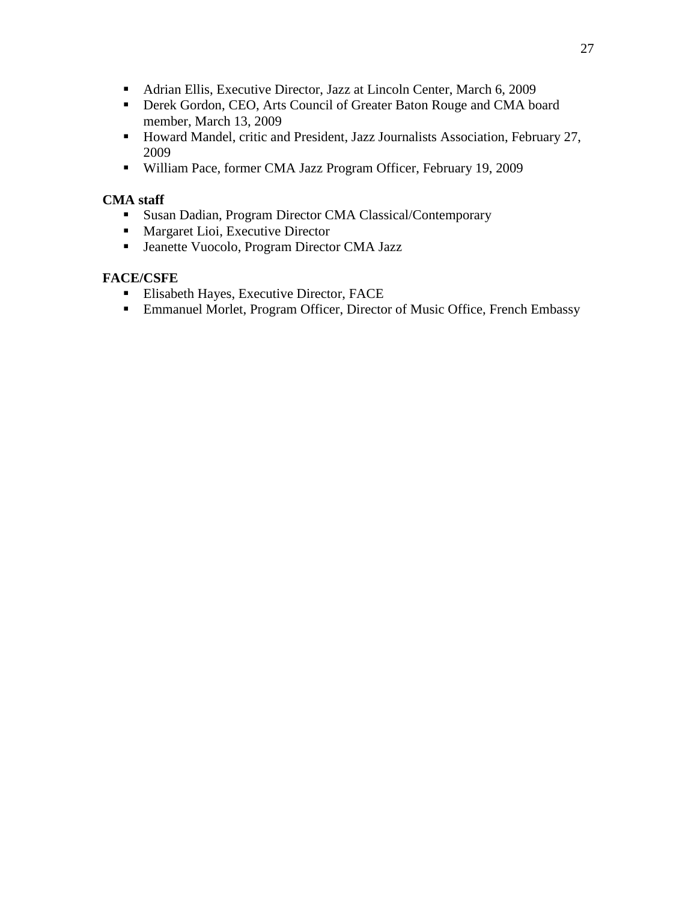- Adrian Ellis, Executive Director, Jazz at Lincoln Center, March 6, 2009
- **Derek Gordon, CEO, Arts Council of Greater Baton Rouge and CMA board** member, March 13, 2009
- Howard Mandel, critic and President, Jazz Journalists Association, February 27, 2009
- William Pace, former CMA Jazz Program Officer, February 19, 2009

## **CMA staff**

- Susan Dadian, Program Director CMA Classical/Contemporary
- **Margaret Lioi, Executive Director**
- Jeanette Vuocolo, Program Director CMA Jazz

## **FACE/CSFE**

- **Elisabeth Hayes, Executive Director, FACE**
- Emmanuel Morlet, Program Officer, Director of Music Office, French Embassy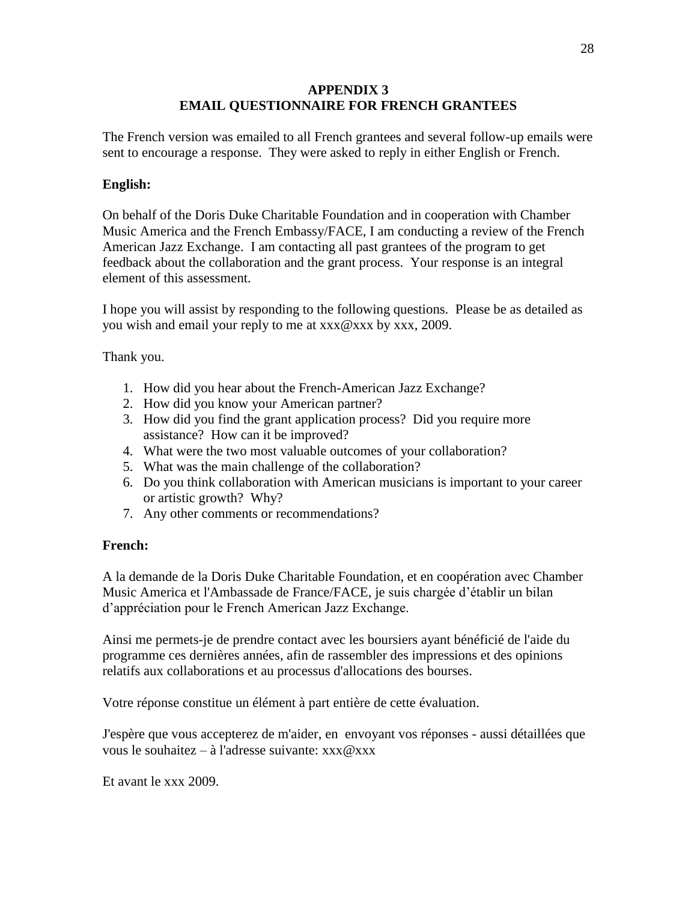## **APPENDIX 3 EMAIL QUESTIONNAIRE FOR FRENCH GRANTEES**

The French version was emailed to all French grantees and several follow-up emails were sent to encourage a response. They were asked to reply in either English or French.

## **English:**

On behalf of the Doris Duke Charitable Foundation and in cooperation with Chamber Music America and the French Embassy/FACE, I am conducting a review of the French American Jazz Exchange. I am contacting all past grantees of the program to get feedback about the collaboration and the grant process. Your response is an integral element of this assessment.

I hope you will assist by responding to the following questions. Please be as detailed as you wish and email your reply to me at xxx@xxx by xxx, 2009.

Thank you.

- 1. How did you hear about the French-American Jazz Exchange?
- 2. How did you know your American partner?
- 3. How did you find the grant application process? Did you require more assistance? How can it be improved?
- 4. What were the two most valuable outcomes of your collaboration?
- 5. What was the main challenge of the collaboration?
- 6. Do you think collaboration with American musicians is important to your career or artistic growth? Why?
- 7. Any other comments or recommendations?

## **French:**

A la demande de la Doris Duke Charitable Foundation, et en coopération avec Chamber Music America et l'Ambassade de France/FACE, je suis chargée d"établir un bilan d"appréciation pour le French American Jazz Exchange.

Ainsi me permets-je de prendre contact avec les boursiers ayant bénéficié de l'aide du programme ces dernières années, afin de rassembler des impressions et des opinions relatifs aux collaborations et au processus d'allocations des bourses.

Votre réponse constitue un élément à part entière de cette évaluation.

J'espère que vous accepterez de m'aider, en envoyant vos réponses - aussi détaillées que vous le souhaitez – à l'adresse suivante:  $xxx@xxx$ 

Et avant le xxx 2009.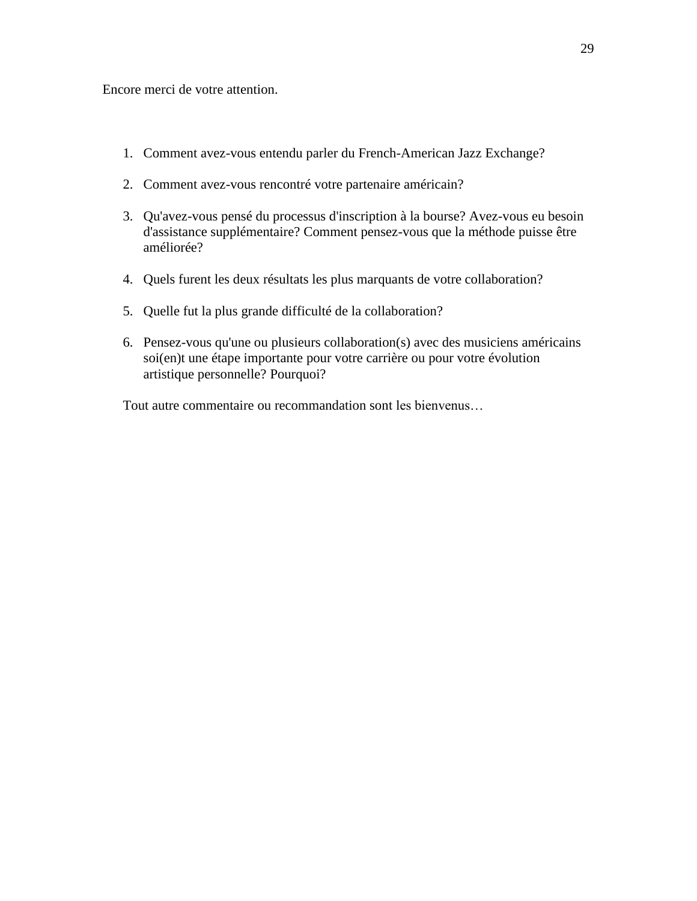Encore merci de votre attention.

- 1. Comment avez-vous entendu parler du French-American Jazz Exchange?
- 2. Comment avez-vous rencontré votre partenaire américain?
- 3. Qu'avez-vous pensé du processus d'inscription à la bourse? Avez-vous eu besoin d'assistance supplémentaire? Comment pensez-vous que la méthode puisse être améliorée?
- 4. Quels furent les deux résultats les plus marquants de votre collaboration?
- 5. Quelle fut la plus grande difficulté de la collaboration?
- 6. Pensez-vous qu'une ou plusieurs collaboration(s) avec des musiciens américains soi(en)t une étape importante pour votre carrière ou pour votre évolution artistique personnelle? Pourquoi?

Tout autre commentaire ou recommandation sont les bienvenus…